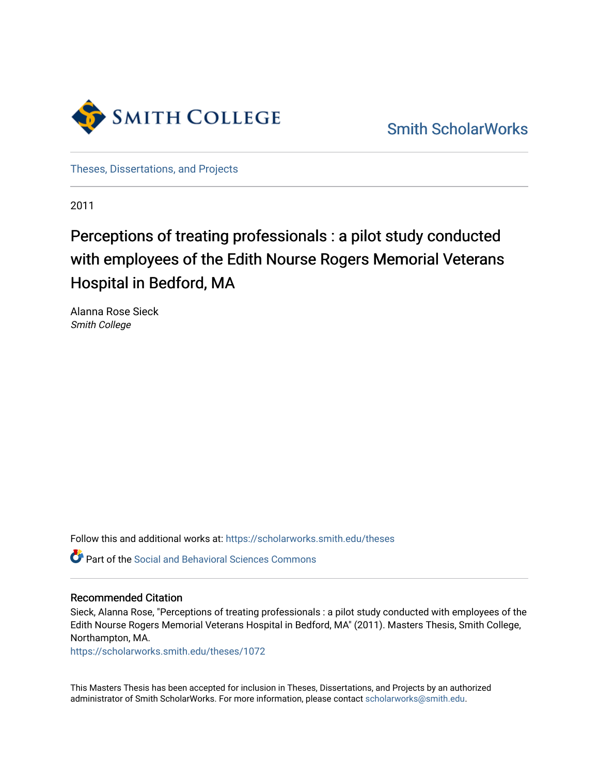

[Smith ScholarWorks](https://scholarworks.smith.edu/) 

[Theses, Dissertations, and Projects](https://scholarworks.smith.edu/theses) 

2011

## Perceptions of treating professionals : a pilot study conducted with employees of the Edith Nourse Rogers Memorial Veterans Hospital in Bedford, MA

Alanna Rose Sieck Smith College

Follow this and additional works at: [https://scholarworks.smith.edu/theses](https://scholarworks.smith.edu/theses?utm_source=scholarworks.smith.edu%2Ftheses%2F1072&utm_medium=PDF&utm_campaign=PDFCoverPages) 

Part of the [Social and Behavioral Sciences Commons](http://network.bepress.com/hgg/discipline/316?utm_source=scholarworks.smith.edu%2Ftheses%2F1072&utm_medium=PDF&utm_campaign=PDFCoverPages) 

#### Recommended Citation

Sieck, Alanna Rose, "Perceptions of treating professionals : a pilot study conducted with employees of the Edith Nourse Rogers Memorial Veterans Hospital in Bedford, MA" (2011). Masters Thesis, Smith College, Northampton, MA.

[https://scholarworks.smith.edu/theses/1072](https://scholarworks.smith.edu/theses/1072?utm_source=scholarworks.smith.edu%2Ftheses%2F1072&utm_medium=PDF&utm_campaign=PDFCoverPages)

This Masters Thesis has been accepted for inclusion in Theses, Dissertations, and Projects by an authorized administrator of Smith ScholarWorks. For more information, please contact [scholarworks@smith.edu](mailto:scholarworks@smith.edu).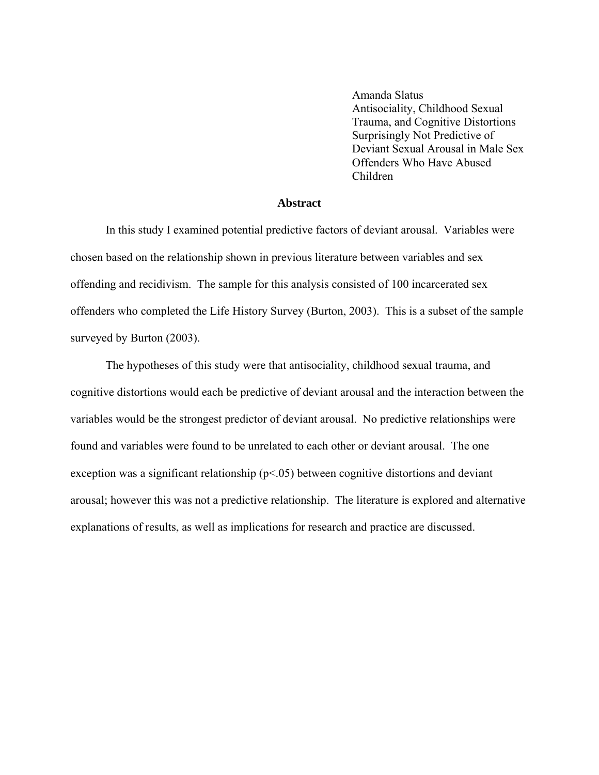Amanda Slatus Antisociality, Childhood Sexual Trauma, and Cognitive Distortions Surprisingly Not Predictive of Deviant Sexual Arousal in Male Sex Offenders Who Have Abused Children

#### **Abstract**

In this study I examined potential predictive factors of deviant arousal. Variables were chosen based on the relationship shown in previous literature between variables and sex offending and recidivism. The sample for this analysis consisted of 100 incarcerated sex offenders who completed the Life History Survey (Burton, 2003). This is a subset of the sample surveyed by Burton (2003).

The hypotheses of this study were that antisociality, childhood sexual trauma, and cognitive distortions would each be predictive of deviant arousal and the interaction between the variables would be the strongest predictor of deviant arousal. No predictive relationships were found and variables were found to be unrelated to each other or deviant arousal. The one exception was a significant relationship ( $p<.05$ ) between cognitive distortions and deviant arousal; however this was not a predictive relationship. The literature is explored and alternative explanations of results, as well as implications for research and practice are discussed.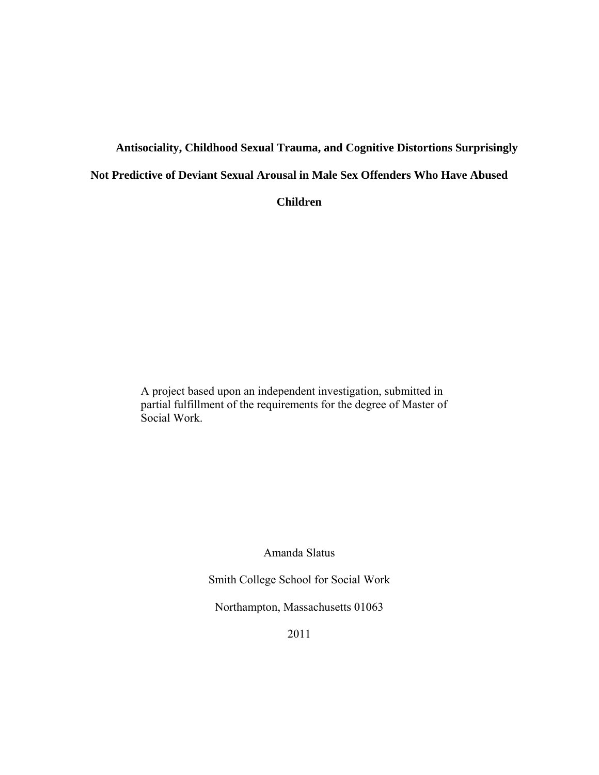# **Antisociality, Childhood Sexual Trauma, and Cognitive Distortions Surprisingly Not Predictive of Deviant Sexual Arousal in Male Sex Offenders Who Have Abused**

**Children** 

A project based upon an independent investigation, submitted in partial fulfillment of the requirements for the degree of Master of Social Work.

Amanda Slatus

Smith College School for Social Work

Northampton, Massachusetts 01063

2011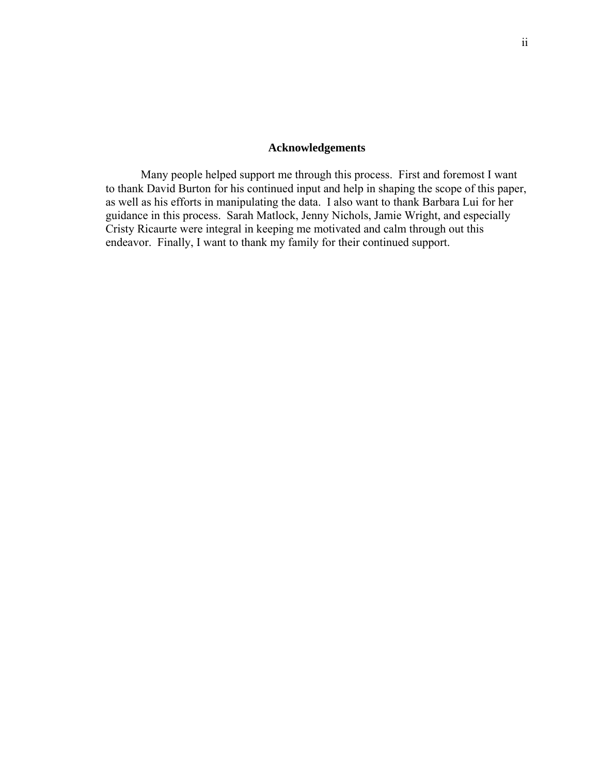#### **Acknowledgements**

Many people helped support me through this process. First and foremost I want to thank David Burton for his continued input and help in shaping the scope of this paper, as well as his efforts in manipulating the data. I also want to thank Barbara Lui for her guidance in this process. Sarah Matlock, Jenny Nichols, Jamie Wright, and especially Cristy Ricaurte were integral in keeping me motivated and calm through out this endeavor. Finally, I want to thank my family for their continued support.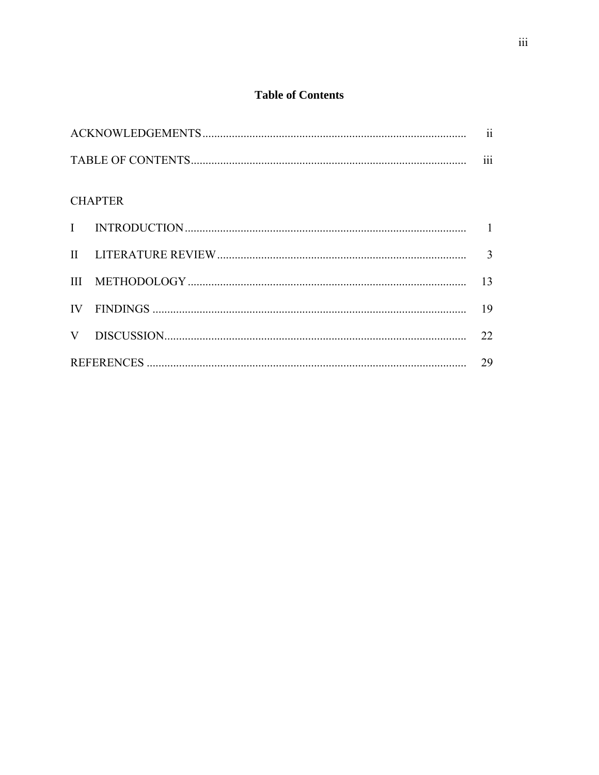## **Table of Contents**

|  | <b>CHAPTER</b> |    |  |  |  |
|--|----------------|----|--|--|--|
|  |                |    |  |  |  |
|  |                |    |  |  |  |
|  |                | 13 |  |  |  |
|  |                |    |  |  |  |
|  |                | 22 |  |  |  |
|  |                |    |  |  |  |
|  |                |    |  |  |  |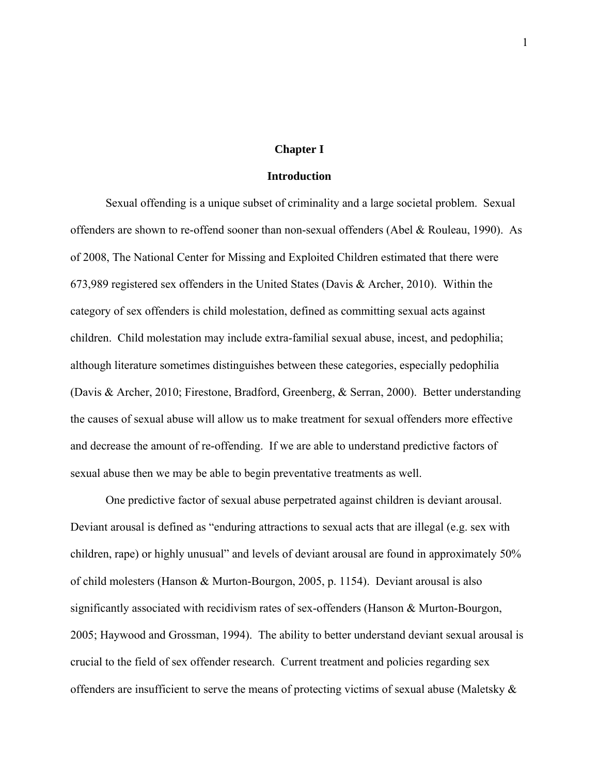#### **Chapter I**

#### **Introduction**

Sexual offending is a unique subset of criminality and a large societal problem. Sexual offenders are shown to re-offend sooner than non-sexual offenders (Abel & Rouleau, 1990). As of 2008, The National Center for Missing and Exploited Children estimated that there were 673,989 registered sex offenders in the United States (Davis & Archer, 2010). Within the category of sex offenders is child molestation, defined as committing sexual acts against children. Child molestation may include extra-familial sexual abuse, incest, and pedophilia; although literature sometimes distinguishes between these categories, especially pedophilia (Davis & Archer, 2010; Firestone, Bradford, Greenberg, & Serran, 2000). Better understanding the causes of sexual abuse will allow us to make treatment for sexual offenders more effective and decrease the amount of re-offending. If we are able to understand predictive factors of sexual abuse then we may be able to begin preventative treatments as well.

One predictive factor of sexual abuse perpetrated against children is deviant arousal. Deviant arousal is defined as "enduring attractions to sexual acts that are illegal (e.g. sex with children, rape) or highly unusual" and levels of deviant arousal are found in approximately 50% of child molesters (Hanson & Murton-Bourgon, 2005, p. 1154). Deviant arousal is also significantly associated with recidivism rates of sex-offenders (Hanson & Murton-Bourgon, 2005; Haywood and Grossman, 1994). The ability to better understand deviant sexual arousal is crucial to the field of sex offender research. Current treatment and policies regarding sex offenders are insufficient to serve the means of protecting victims of sexual abuse (Maletsky &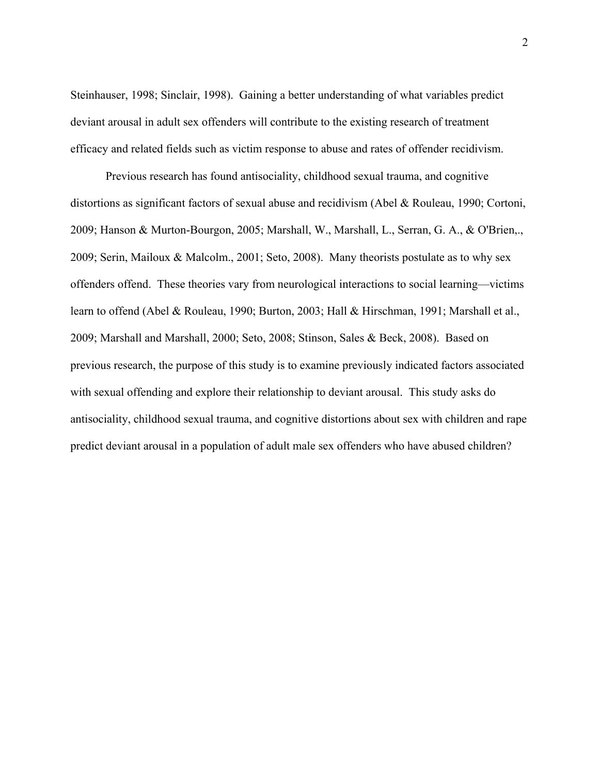Steinhauser, 1998; Sinclair, 1998). Gaining a better understanding of what variables predict deviant arousal in adult sex offenders will contribute to the existing research of treatment efficacy and related fields such as victim response to abuse and rates of offender recidivism.

Previous research has found antisociality, childhood sexual trauma, and cognitive distortions as significant factors of sexual abuse and recidivism (Abel & Rouleau, 1990; Cortoni, 2009; Hanson & Murton-Bourgon, 2005; Marshall, W., Marshall, L., Serran, G. A., & O'Brien,., 2009; Serin, Mailoux & Malcolm., 2001; Seto, 2008). Many theorists postulate as to why sex offenders offend. These theories vary from neurological interactions to social learning—victims learn to offend (Abel & Rouleau, 1990; Burton, 2003; Hall & Hirschman, 1991; Marshall et al., 2009; Marshall and Marshall, 2000; Seto, 2008; Stinson, Sales & Beck, 2008). Based on previous research, the purpose of this study is to examine previously indicated factors associated with sexual offending and explore their relationship to deviant arousal. This study asks do antisociality, childhood sexual trauma, and cognitive distortions about sex with children and rape predict deviant arousal in a population of adult male sex offenders who have abused children?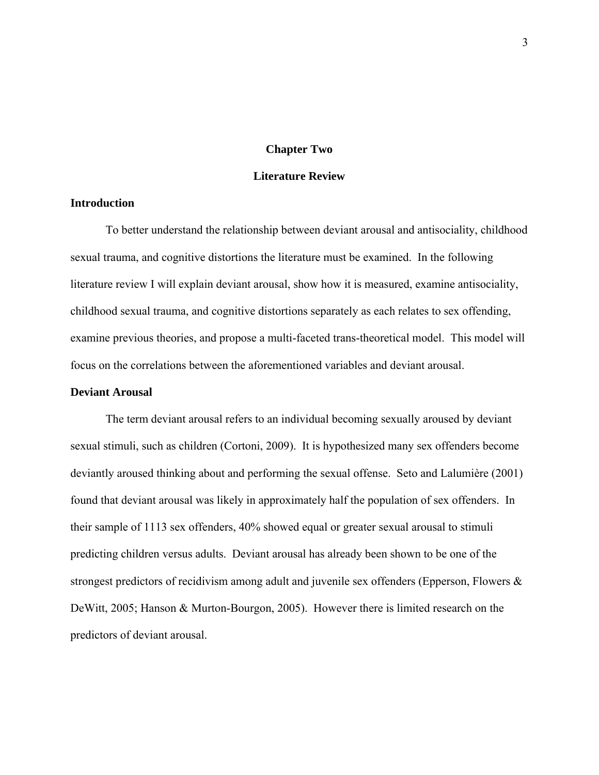#### **Chapter Two**

#### **Literature Review**

#### **Introduction**

To better understand the relationship between deviant arousal and antisociality, childhood sexual trauma, and cognitive distortions the literature must be examined. In the following literature review I will explain deviant arousal, show how it is measured, examine antisociality, childhood sexual trauma, and cognitive distortions separately as each relates to sex offending, examine previous theories, and propose a multi-faceted trans-theoretical model. This model will focus on the correlations between the aforementioned variables and deviant arousal.

#### **Deviant Arousal**

The term deviant arousal refers to an individual becoming sexually aroused by deviant sexual stimuli, such as children (Cortoni, 2009). It is hypothesized many sex offenders become deviantly aroused thinking about and performing the sexual offense. Seto and Lalumière (2001) found that deviant arousal was likely in approximately half the population of sex offenders. In their sample of 1113 sex offenders, 40% showed equal or greater sexual arousal to stimuli predicting children versus adults. Deviant arousal has already been shown to be one of the strongest predictors of recidivism among adult and juvenile sex offenders (Epperson, Flowers & DeWitt, 2005; Hanson & Murton-Bourgon, 2005). However there is limited research on the predictors of deviant arousal.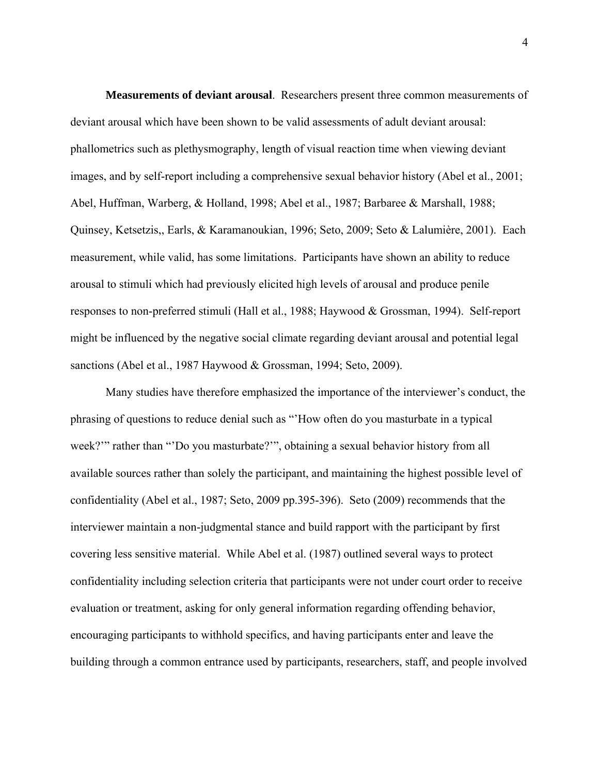**Measurements of deviant arousal**. Researchers present three common measurements of deviant arousal which have been shown to be valid assessments of adult deviant arousal: phallometrics such as plethysmography, length of visual reaction time when viewing deviant images, and by self-report including a comprehensive sexual behavior history (Abel et al., 2001; Abel, Huffman, Warberg, & Holland, 1998; Abel et al., 1987; Barbaree & Marshall, 1988; Quinsey, Ketsetzis,, Earls, & Karamanoukian, 1996; Seto, 2009; Seto & Lalumière, 2001). Each measurement, while valid, has some limitations. Participants have shown an ability to reduce arousal to stimuli which had previously elicited high levels of arousal and produce penile responses to non-preferred stimuli (Hall et al., 1988; Haywood & Grossman, 1994). Self-report might be influenced by the negative social climate regarding deviant arousal and potential legal sanctions (Abel et al., 1987 Haywood & Grossman, 1994; Seto, 2009).

Many studies have therefore emphasized the importance of the interviewer's conduct, the phrasing of questions to reduce denial such as "'How often do you masturbate in a typical week?'" rather than "'Do you masturbate?'", obtaining a sexual behavior history from all available sources rather than solely the participant, and maintaining the highest possible level of confidentiality (Abel et al., 1987; Seto, 2009 pp.395-396). Seto (2009) recommends that the interviewer maintain a non-judgmental stance and build rapport with the participant by first covering less sensitive material. While Abel et al. (1987) outlined several ways to protect confidentiality including selection criteria that participants were not under court order to receive evaluation or treatment, asking for only general information regarding offending behavior, encouraging participants to withhold specifics, and having participants enter and leave the building through a common entrance used by participants, researchers, staff, and people involved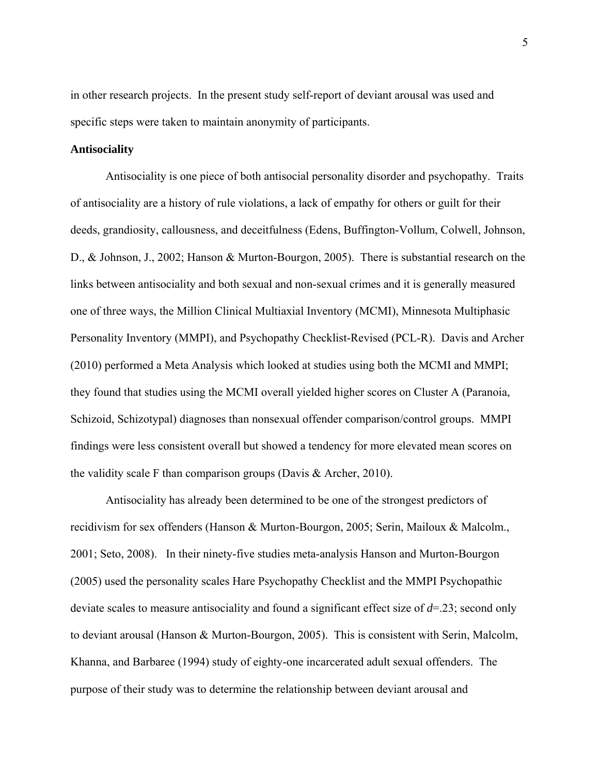in other research projects. In the present study self-report of deviant arousal was used and specific steps were taken to maintain anonymity of participants.

#### **Antisociality**

Antisociality is one piece of both antisocial personality disorder and psychopathy. Traits of antisociality are a history of rule violations, a lack of empathy for others or guilt for their deeds, grandiosity, callousness, and deceitfulness (Edens, Buffington-Vollum, Colwell, Johnson, D., & Johnson, J., 2002; Hanson & Murton-Bourgon, 2005). There is substantial research on the links between antisociality and both sexual and non-sexual crimes and it is generally measured one of three ways, the Million Clinical Multiaxial Inventory (MCMI), Minnesota Multiphasic Personality Inventory (MMPI), and Psychopathy Checklist-Revised (PCL-R). Davis and Archer (2010) performed a Meta Analysis which looked at studies using both the MCMI and MMPI; they found that studies using the MCMI overall yielded higher scores on Cluster A (Paranoia, Schizoid, Schizotypal) diagnoses than nonsexual offender comparison/control groups. MMPI findings were less consistent overall but showed a tendency for more elevated mean scores on the validity scale F than comparison groups (Davis & Archer, 2010).

Antisociality has already been determined to be one of the strongest predictors of recidivism for sex offenders (Hanson & Murton-Bourgon, 2005; Serin, Mailoux & Malcolm., 2001; Seto, 2008). In their ninety-five studies meta-analysis Hanson and Murton-Bourgon (2005) used the personality scales Hare Psychopathy Checklist and the MMPI Psychopathic deviate scales to measure antisociality and found a significant effect size of *d*=.23; second only to deviant arousal (Hanson & Murton-Bourgon, 2005). This is consistent with Serin, Malcolm, Khanna, and Barbaree (1994) study of eighty-one incarcerated adult sexual offenders. The purpose of their study was to determine the relationship between deviant arousal and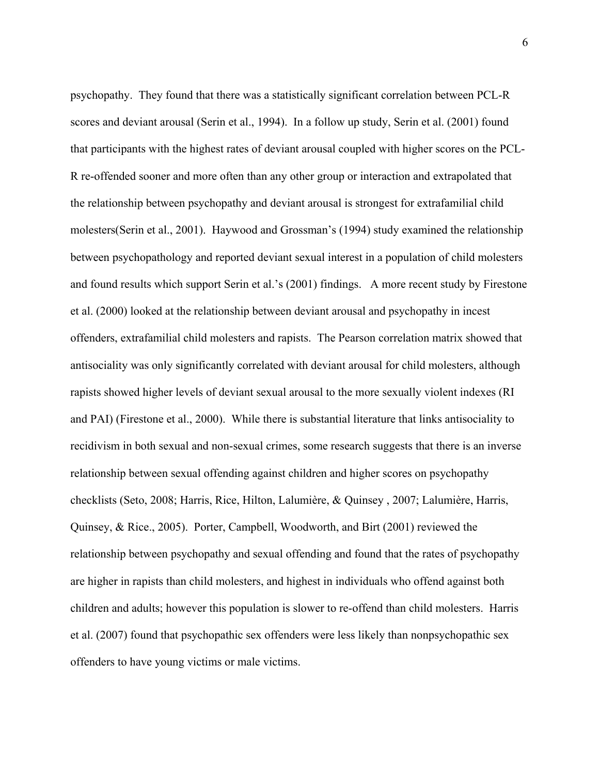psychopathy. They found that there was a statistically significant correlation between PCL-R scores and deviant arousal (Serin et al., 1994). In a follow up study, Serin et al. (2001) found that participants with the highest rates of deviant arousal coupled with higher scores on the PCL-R re-offended sooner and more often than any other group or interaction and extrapolated that the relationship between psychopathy and deviant arousal is strongest for extrafamilial child molesters(Serin et al., 2001). Haywood and Grossman's (1994) study examined the relationship between psychopathology and reported deviant sexual interest in a population of child molesters and found results which support Serin et al.'s (2001) findings. A more recent study by Firestone et al. (2000) looked at the relationship between deviant arousal and psychopathy in incest offenders, extrafamilial child molesters and rapists. The Pearson correlation matrix showed that antisociality was only significantly correlated with deviant arousal for child molesters, although rapists showed higher levels of deviant sexual arousal to the more sexually violent indexes (RI and PAI) (Firestone et al., 2000). While there is substantial literature that links antisociality to recidivism in both sexual and non-sexual crimes, some research suggests that there is an inverse relationship between sexual offending against children and higher scores on psychopathy checklists (Seto, 2008; Harris, Rice, Hilton, Lalumière, & Quinsey , 2007; Lalumière, Harris, Quinsey, & Rice., 2005). Porter, Campbell, Woodworth, and Birt (2001) reviewed the relationship between psychopathy and sexual offending and found that the rates of psychopathy are higher in rapists than child molesters, and highest in individuals who offend against both children and adults; however this population is slower to re-offend than child molesters. Harris et al. (2007) found that psychopathic sex offenders were less likely than nonpsychopathic sex offenders to have young victims or male victims.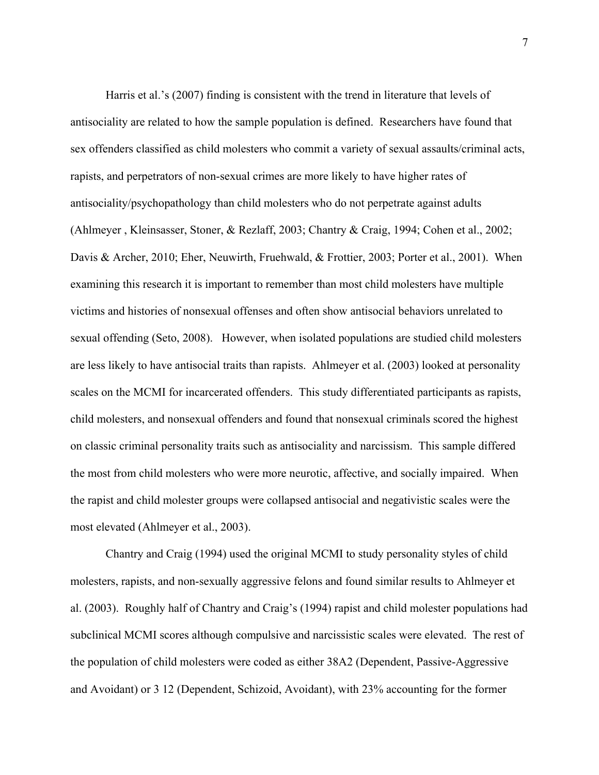Harris et al.'s (2007) finding is consistent with the trend in literature that levels of antisociality are related to how the sample population is defined. Researchers have found that sex offenders classified as child molesters who commit a variety of sexual assaults/criminal acts, rapists, and perpetrators of non-sexual crimes are more likely to have higher rates of antisociality/psychopathology than child molesters who do not perpetrate against adults (Ahlmeyer , Kleinsasser, Stoner, & Rezlaff, 2003; Chantry & Craig, 1994; Cohen et al., 2002; Davis & Archer, 2010; Eher, Neuwirth, Fruehwald, & Frottier, 2003; Porter et al., 2001). When examining this research it is important to remember than most child molesters have multiple victims and histories of nonsexual offenses and often show antisocial behaviors unrelated to sexual offending (Seto, 2008). However, when isolated populations are studied child molesters are less likely to have antisocial traits than rapists. Ahlmeyer et al. (2003) looked at personality scales on the MCMI for incarcerated offenders. This study differentiated participants as rapists, child molesters, and nonsexual offenders and found that nonsexual criminals scored the highest on classic criminal personality traits such as antisociality and narcissism. This sample differed the most from child molesters who were more neurotic, affective, and socially impaired. When the rapist and child molester groups were collapsed antisocial and negativistic scales were the most elevated (Ahlmeyer et al., 2003).

Chantry and Craig (1994) used the original MCMI to study personality styles of child molesters, rapists, and non-sexually aggressive felons and found similar results to Ahlmeyer et al. (2003). Roughly half of Chantry and Craig's (1994) rapist and child molester populations had subclinical MCMI scores although compulsive and narcissistic scales were elevated. The rest of the population of child molesters were coded as either 38A2 (Dependent, Passive-Aggressive and Avoidant) or 3 12 (Dependent, Schizoid, Avoidant), with 23% accounting for the former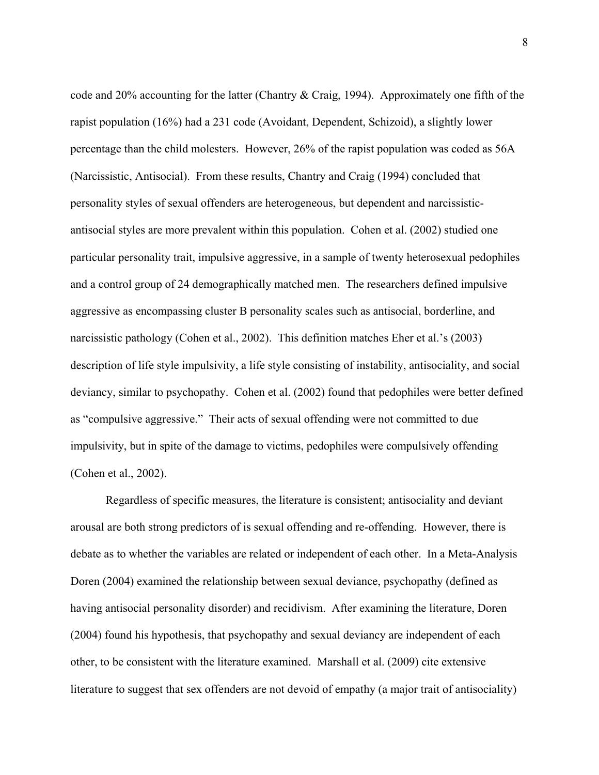code and 20% accounting for the latter (Chantry & Craig, 1994). Approximately one fifth of the rapist population (16%) had a 231 code (Avoidant, Dependent, Schizoid), a slightly lower percentage than the child molesters. However, 26% of the rapist population was coded as 56A (Narcissistic, Antisocial). From these results, Chantry and Craig (1994) concluded that personality styles of sexual offenders are heterogeneous, but dependent and narcissisticantisocial styles are more prevalent within this population. Cohen et al. (2002) studied one particular personality trait, impulsive aggressive, in a sample of twenty heterosexual pedophiles and a control group of 24 demographically matched men. The researchers defined impulsive aggressive as encompassing cluster B personality scales such as antisocial, borderline, and narcissistic pathology (Cohen et al., 2002). This definition matches Eher et al.'s (2003) description of life style impulsivity, a life style consisting of instability, antisociality, and social deviancy, similar to psychopathy. Cohen et al. (2002) found that pedophiles were better defined as "compulsive aggressive." Their acts of sexual offending were not committed to due impulsivity, but in spite of the damage to victims, pedophiles were compulsively offending (Cohen et al., 2002).

Regardless of specific measures, the literature is consistent; antisociality and deviant arousal are both strong predictors of is sexual offending and re-offending. However, there is debate as to whether the variables are related or independent of each other. In a Meta-Analysis Doren (2004) examined the relationship between sexual deviance, psychopathy (defined as having antisocial personality disorder) and recidivism. After examining the literature, Doren (2004) found his hypothesis, that psychopathy and sexual deviancy are independent of each other, to be consistent with the literature examined. Marshall et al. (2009) cite extensive literature to suggest that sex offenders are not devoid of empathy (a major trait of antisociality)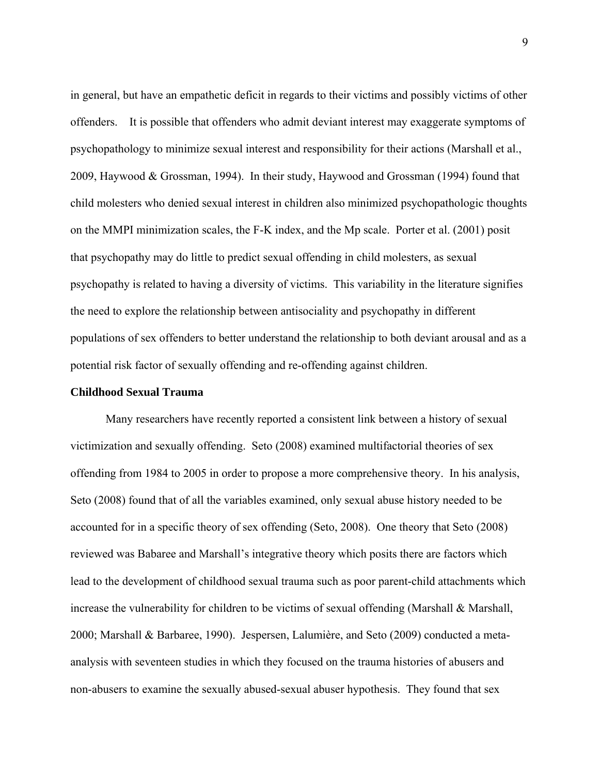in general, but have an empathetic deficit in regards to their victims and possibly victims of other offenders. It is possible that offenders who admit deviant interest may exaggerate symptoms of psychopathology to minimize sexual interest and responsibility for their actions (Marshall et al., 2009, Haywood & Grossman, 1994). In their study, Haywood and Grossman (1994) found that child molesters who denied sexual interest in children also minimized psychopathologic thoughts on the MMPI minimization scales, the F-K index, and the Mp scale. Porter et al. (2001) posit that psychopathy may do little to predict sexual offending in child molesters, as sexual psychopathy is related to having a diversity of victims. This variability in the literature signifies the need to explore the relationship between antisociality and psychopathy in different populations of sex offenders to better understand the relationship to both deviant arousal and as a potential risk factor of sexually offending and re-offending against children.

#### **Childhood Sexual Trauma**

Many researchers have recently reported a consistent link between a history of sexual victimization and sexually offending. Seto (2008) examined multifactorial theories of sex offending from 1984 to 2005 in order to propose a more comprehensive theory. In his analysis, Seto (2008) found that of all the variables examined, only sexual abuse history needed to be accounted for in a specific theory of sex offending (Seto, 2008). One theory that Seto (2008) reviewed was Babaree and Marshall's integrative theory which posits there are factors which lead to the development of childhood sexual trauma such as poor parent-child attachments which increase the vulnerability for children to be victims of sexual offending (Marshall & Marshall, 2000; Marshall & Barbaree, 1990). Jespersen, Lalumière, and Seto (2009) conducted a metaanalysis with seventeen studies in which they focused on the trauma histories of abusers and non-abusers to examine the sexually abused-sexual abuser hypothesis. They found that sex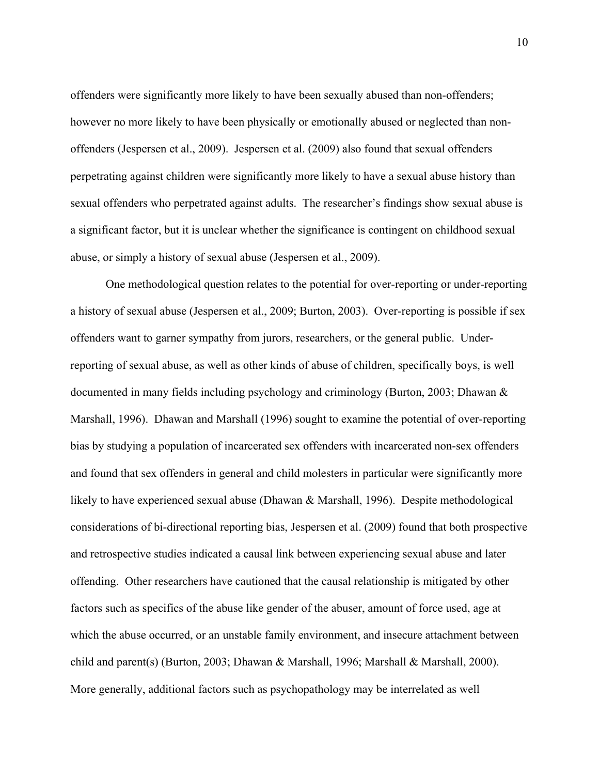offenders were significantly more likely to have been sexually abused than non-offenders; however no more likely to have been physically or emotionally abused or neglected than nonoffenders (Jespersen et al., 2009). Jespersen et al. (2009) also found that sexual offenders perpetrating against children were significantly more likely to have a sexual abuse history than sexual offenders who perpetrated against adults. The researcher's findings show sexual abuse is a significant factor, but it is unclear whether the significance is contingent on childhood sexual abuse, or simply a history of sexual abuse (Jespersen et al., 2009).

One methodological question relates to the potential for over-reporting or under-reporting a history of sexual abuse (Jespersen et al., 2009; Burton, 2003). Over-reporting is possible if sex offenders want to garner sympathy from jurors, researchers, or the general public. Underreporting of sexual abuse, as well as other kinds of abuse of children, specifically boys, is well documented in many fields including psychology and criminology (Burton, 2003; Dhawan & Marshall, 1996). Dhawan and Marshall (1996) sought to examine the potential of over-reporting bias by studying a population of incarcerated sex offenders with incarcerated non-sex offenders and found that sex offenders in general and child molesters in particular were significantly more likely to have experienced sexual abuse (Dhawan & Marshall, 1996). Despite methodological considerations of bi-directional reporting bias, Jespersen et al. (2009) found that both prospective and retrospective studies indicated a causal link between experiencing sexual abuse and later offending. Other researchers have cautioned that the causal relationship is mitigated by other factors such as specifics of the abuse like gender of the abuser, amount of force used, age at which the abuse occurred, or an unstable family environment, and insecure attachment between child and parent(s) (Burton, 2003; Dhawan & Marshall, 1996; Marshall & Marshall, 2000). More generally, additional factors such as psychopathology may be interrelated as well

10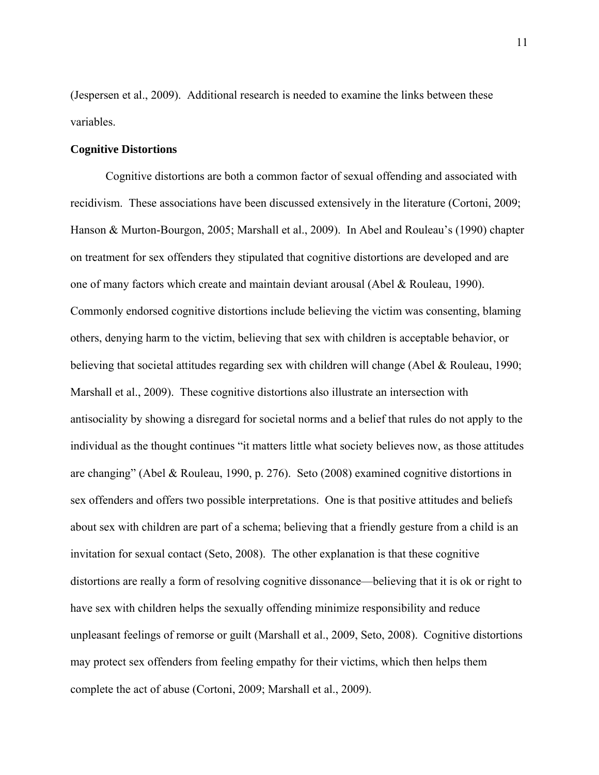(Jespersen et al., 2009). Additional research is needed to examine the links between these variables.

#### **Cognitive Distortions**

Cognitive distortions are both a common factor of sexual offending and associated with recidivism. These associations have been discussed extensively in the literature (Cortoni, 2009; Hanson & Murton-Bourgon, 2005; Marshall et al., 2009). In Abel and Rouleau's (1990) chapter on treatment for sex offenders they stipulated that cognitive distortions are developed and are one of many factors which create and maintain deviant arousal (Abel & Rouleau, 1990). Commonly endorsed cognitive distortions include believing the victim was consenting, blaming others, denying harm to the victim, believing that sex with children is acceptable behavior, or believing that societal attitudes regarding sex with children will change (Abel & Rouleau, 1990; Marshall et al., 2009). These cognitive distortions also illustrate an intersection with antisociality by showing a disregard for societal norms and a belief that rules do not apply to the individual as the thought continues "it matters little what society believes now, as those attitudes are changing" (Abel & Rouleau, 1990, p. 276). Seto (2008) examined cognitive distortions in sex offenders and offers two possible interpretations. One is that positive attitudes and beliefs about sex with children are part of a schema; believing that a friendly gesture from a child is an invitation for sexual contact (Seto, 2008). The other explanation is that these cognitive distortions are really a form of resolving cognitive dissonance—believing that it is ok or right to have sex with children helps the sexually offending minimize responsibility and reduce unpleasant feelings of remorse or guilt (Marshall et al., 2009, Seto, 2008). Cognitive distortions may protect sex offenders from feeling empathy for their victims, which then helps them complete the act of abuse (Cortoni, 2009; Marshall et al., 2009).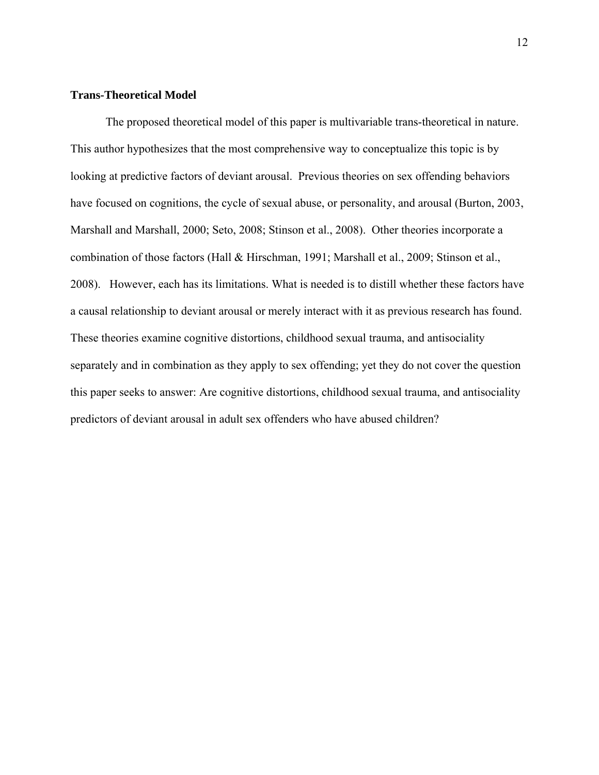#### **Trans-Theoretical Model**

The proposed theoretical model of this paper is multivariable trans-theoretical in nature. This author hypothesizes that the most comprehensive way to conceptualize this topic is by looking at predictive factors of deviant arousal. Previous theories on sex offending behaviors have focused on cognitions, the cycle of sexual abuse, or personality, and arousal (Burton, 2003, Marshall and Marshall, 2000; Seto, 2008; Stinson et al., 2008). Other theories incorporate a combination of those factors (Hall & Hirschman, 1991; Marshall et al., 2009; Stinson et al., 2008). However, each has its limitations. What is needed is to distill whether these factors have a causal relationship to deviant arousal or merely interact with it as previous research has found. These theories examine cognitive distortions, childhood sexual trauma, and antisociality separately and in combination as they apply to sex offending; yet they do not cover the question this paper seeks to answer: Are cognitive distortions, childhood sexual trauma, and antisociality predictors of deviant arousal in adult sex offenders who have abused children?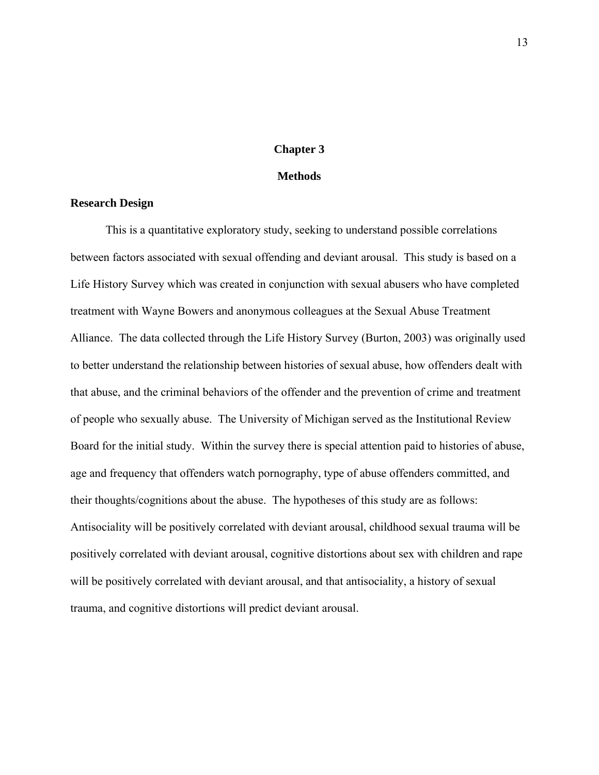#### **Chapter 3**

#### **Methods**

#### **Research Design**

This is a quantitative exploratory study, seeking to understand possible correlations between factors associated with sexual offending and deviant arousal. This study is based on a Life History Survey which was created in conjunction with sexual abusers who have completed treatment with Wayne Bowers and anonymous colleagues at the Sexual Abuse Treatment Alliance. The data collected through the Life History Survey (Burton, 2003) was originally used to better understand the relationship between histories of sexual abuse, how offenders dealt with that abuse, and the criminal behaviors of the offender and the prevention of crime and treatment of people who sexually abuse. The University of Michigan served as the Institutional Review Board for the initial study. Within the survey there is special attention paid to histories of abuse, age and frequency that offenders watch pornography, type of abuse offenders committed, and their thoughts/cognitions about the abuse. The hypotheses of this study are as follows: Antisociality will be positively correlated with deviant arousal, childhood sexual trauma will be positively correlated with deviant arousal, cognitive distortions about sex with children and rape will be positively correlated with deviant arousal, and that antisociality, a history of sexual trauma, and cognitive distortions will predict deviant arousal.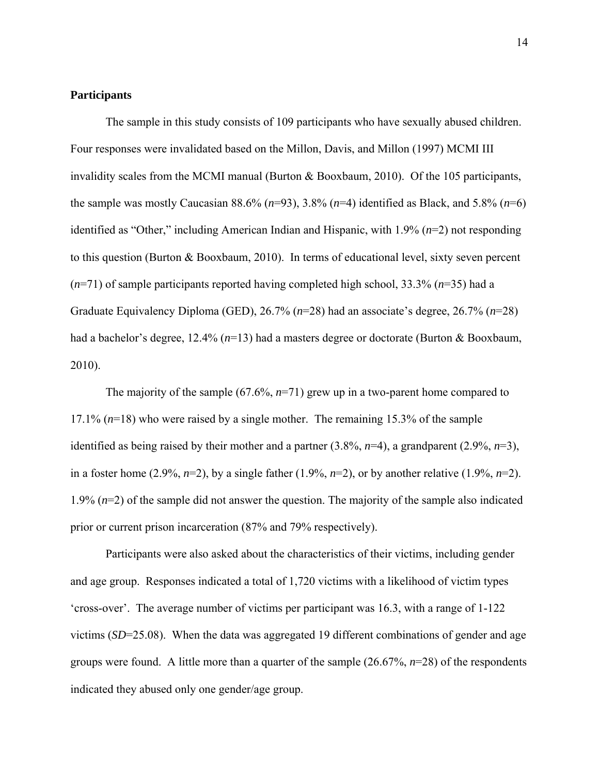#### **Participants**

The sample in this study consists of 109 participants who have sexually abused children. Four responses were invalidated based on the Millon, Davis, and Millon (1997) MCMI III invalidity scales from the MCMI manual (Burton & Booxbaum, 2010). Of the 105 participants, the sample was mostly Caucasian  $88.6\%$  ( $n=93$ ),  $3.8\%$  ( $n=4$ ) identified as Black, and  $5.8\%$  ( $n=6$ ) identified as "Other," including American Indian and Hispanic, with 1.9% (*n*=2) not responding to this question (Burton & Booxbaum, 2010). In terms of educational level, sixty seven percent (*n*=71) of sample participants reported having completed high school, 33.3% (*n*=35) had a Graduate Equivalency Diploma (GED), 26.7% (*n*=28) had an associate's degree, 26.7% (*n*=28) had a bachelor's degree, 12.4% (*n*=13) had a masters degree or doctorate (Burton & Booxbaum, 2010).

The majority of the sample (67.6%, *n*=71) grew up in a two-parent home compared to 17.1% (*n*=18) who were raised by a single mother. The remaining 15.3% of the sample identified as being raised by their mother and a partner (3.8%, *n*=4), a grandparent (2.9%, *n*=3), in a foster home  $(2.9\%, n=2)$ , by a single father  $(1.9\%, n=2)$ , or by another relative  $(1.9\%, n=2)$ . 1.9% (*n*=2) of the sample did not answer the question. The majority of the sample also indicated prior or current prison incarceration (87% and 79% respectively).

Participants were also asked about the characteristics of their victims, including gender and age group. Responses indicated a total of 1,720 victims with a likelihood of victim types 'cross-over'. The average number of victims per participant was 16.3, with a range of 1-122 victims (*SD*=25.08). When the data was aggregated 19 different combinations of gender and age groups were found. A little more than a quarter of the sample (26.67%, *n*=28) of the respondents indicated they abused only one gender/age group.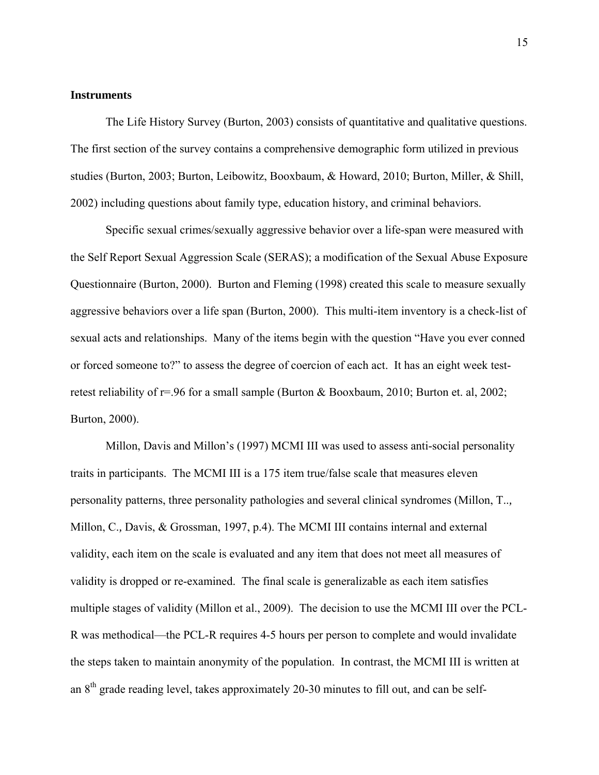#### **Instruments**

The Life History Survey (Burton, 2003) consists of quantitative and qualitative questions. The first section of the survey contains a comprehensive demographic form utilized in previous studies (Burton, 2003; Burton, Leibowitz, Booxbaum, & Howard, 2010; Burton, Miller, & Shill, 2002) including questions about family type, education history, and criminal behaviors.

Specific sexual crimes/sexually aggressive behavior over a life-span were measured with the Self Report Sexual Aggression Scale (SERAS); a modification of the Sexual Abuse Exposure Questionnaire (Burton, 2000). Burton and Fleming (1998) created this scale to measure sexually aggressive behaviors over a life span (Burton, 2000). This multi-item inventory is a check-list of sexual acts and relationships. Many of the items begin with the question "Have you ever conned or forced someone to?" to assess the degree of coercion of each act. It has an eight week testretest reliability of r=.96 for a small sample (Burton & Booxbaum, 2010; Burton et. al, 2002; Burton, 2000).

Millon, Davis and Millon's (1997) MCMI III was used to assess anti-social personality traits in participants. The MCMI III is a 175 item true/false scale that measures eleven personality patterns, three personality pathologies and several clinical syndromes (Millon, T..*,*  Millon, C.*,* Davis, & Grossman, 1997, p.4). The MCMI III contains internal and external validity, each item on the scale is evaluated and any item that does not meet all measures of validity is dropped or re-examined. The final scale is generalizable as each item satisfies multiple stages of validity (Millon et al., 2009). The decision to use the MCMI III over the PCL-R was methodical—the PCL-R requires 4-5 hours per person to complete and would invalidate the steps taken to maintain anonymity of the population. In contrast, the MCMI III is written at an 8th grade reading level, takes approximately 20-30 minutes to fill out, and can be self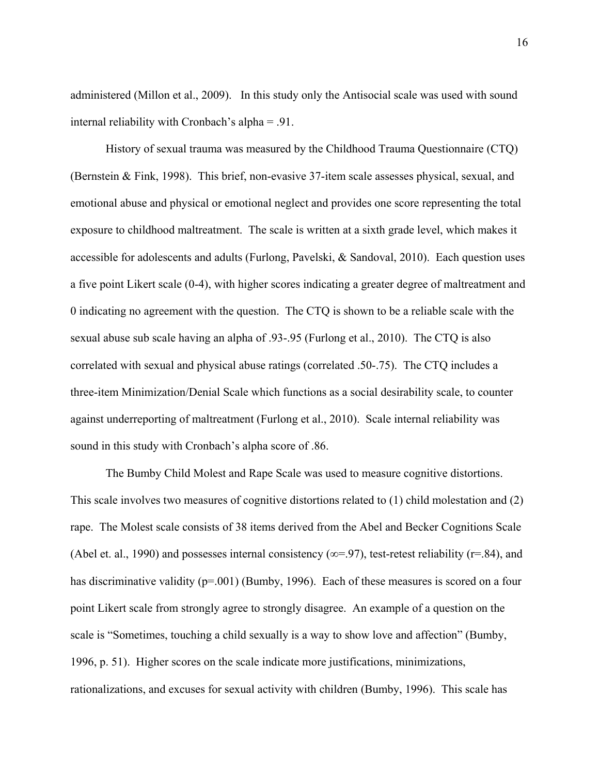administered (Millon et al., 2009). In this study only the Antisocial scale was used with sound internal reliability with Cronbach's alpha = .91.

History of sexual trauma was measured by the Childhood Trauma Questionnaire (CTQ) (Bernstein & Fink, 1998). This brief, non-evasive 37-item scale assesses physical, sexual, and emotional abuse and physical or emotional neglect and provides one score representing the total exposure to childhood maltreatment. The scale is written at a sixth grade level, which makes it accessible for adolescents and adults (Furlong, Pavelski, & Sandoval, 2010). Each question uses a five point Likert scale (0-4), with higher scores indicating a greater degree of maltreatment and 0 indicating no agreement with the question. The CTQ is shown to be a reliable scale with the sexual abuse sub scale having an alpha of .93-.95 (Furlong et al., 2010). The CTQ is also correlated with sexual and physical abuse ratings (correlated .50-.75). The CTQ includes a three-item Minimization/Denial Scale which functions as a social desirability scale, to counter against underreporting of maltreatment (Furlong et al., 2010). Scale internal reliability was sound in this study with Cronbach's alpha score of .86.

The Bumby Child Molest and Rape Scale was used to measure cognitive distortions. This scale involves two measures of cognitive distortions related to (1) child molestation and (2) rape. The Molest scale consists of 38 items derived from the Abel and Becker Cognitions Scale (Abel et. al., 1990) and possesses internal consistency ( $\infty$ =.97), test-retest reliability (r=.84), and has discriminative validity (p=.001) (Bumby, 1996). Each of these measures is scored on a four point Likert scale from strongly agree to strongly disagree. An example of a question on the scale is "Sometimes, touching a child sexually is a way to show love and affection" (Bumby, 1996, p. 51). Higher scores on the scale indicate more justifications, minimizations, rationalizations, and excuses for sexual activity with children (Bumby, 1996). This scale has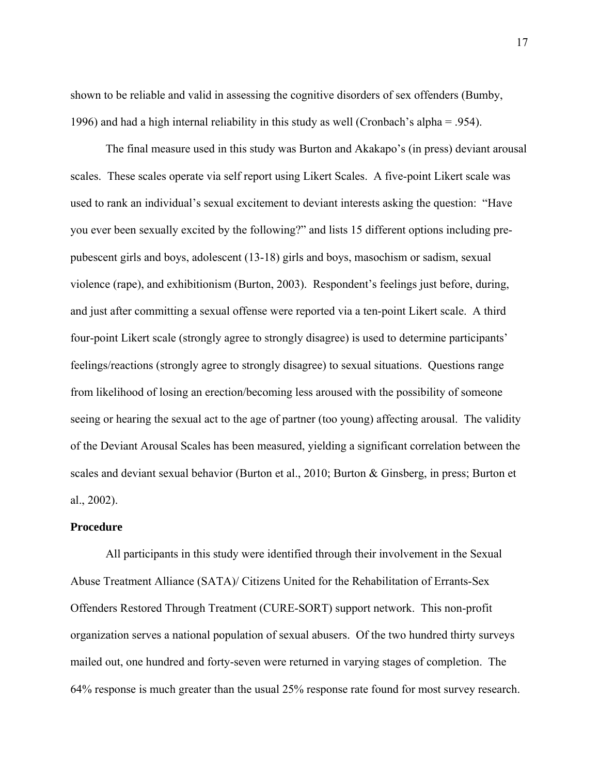shown to be reliable and valid in assessing the cognitive disorders of sex offenders (Bumby, 1996) and had a high internal reliability in this study as well (Cronbach's alpha = .954).

The final measure used in this study was Burton and Akakapo's (in press) deviant arousal scales. These scales operate via self report using Likert Scales. A five-point Likert scale was used to rank an individual's sexual excitement to deviant interests asking the question: "Have you ever been sexually excited by the following?" and lists 15 different options including prepubescent girls and boys, adolescent (13-18) girls and boys, masochism or sadism, sexual violence (rape), and exhibitionism (Burton, 2003). Respondent's feelings just before, during, and just after committing a sexual offense were reported via a ten-point Likert scale. A third four-point Likert scale (strongly agree to strongly disagree) is used to determine participants' feelings/reactions (strongly agree to strongly disagree) to sexual situations. Questions range from likelihood of losing an erection/becoming less aroused with the possibility of someone seeing or hearing the sexual act to the age of partner (too young) affecting arousal. The validity of the Deviant Arousal Scales has been measured, yielding a significant correlation between the scales and deviant sexual behavior (Burton et al., 2010; Burton & Ginsberg, in press; Burton et al., 2002).

#### **Procedure**

All participants in this study were identified through their involvement in the Sexual Abuse Treatment Alliance (SATA)/ Citizens United for the Rehabilitation of Errants-Sex Offenders Restored Through Treatment (CURE-SORT) support network. This non-profit organization serves a national population of sexual abusers. Of the two hundred thirty surveys mailed out, one hundred and forty-seven were returned in varying stages of completion. The 64% response is much greater than the usual 25% response rate found for most survey research.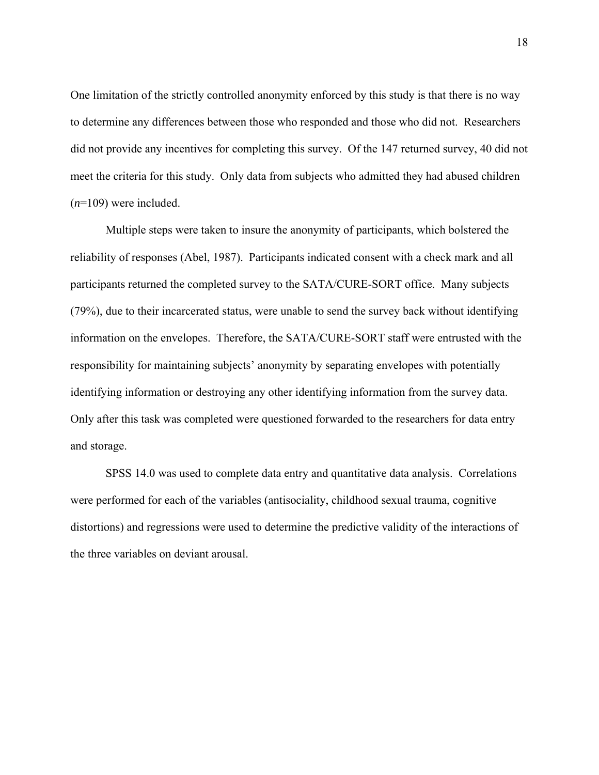One limitation of the strictly controlled anonymity enforced by this study is that there is no way to determine any differences between those who responded and those who did not. Researchers did not provide any incentives for completing this survey. Of the 147 returned survey, 40 did not meet the criteria for this study. Only data from subjects who admitted they had abused children (*n*=109) were included.

Multiple steps were taken to insure the anonymity of participants, which bolstered the reliability of responses (Abel, 1987). Participants indicated consent with a check mark and all participants returned the completed survey to the SATA/CURE-SORT office. Many subjects (79%), due to their incarcerated status, were unable to send the survey back without identifying information on the envelopes. Therefore, the SATA/CURE-SORT staff were entrusted with the responsibility for maintaining subjects' anonymity by separating envelopes with potentially identifying information or destroying any other identifying information from the survey data. Only after this task was completed were questioned forwarded to the researchers for data entry and storage.

SPSS 14.0 was used to complete data entry and quantitative data analysis. Correlations were performed for each of the variables (antisociality, childhood sexual trauma, cognitive distortions) and regressions were used to determine the predictive validity of the interactions of the three variables on deviant arousal.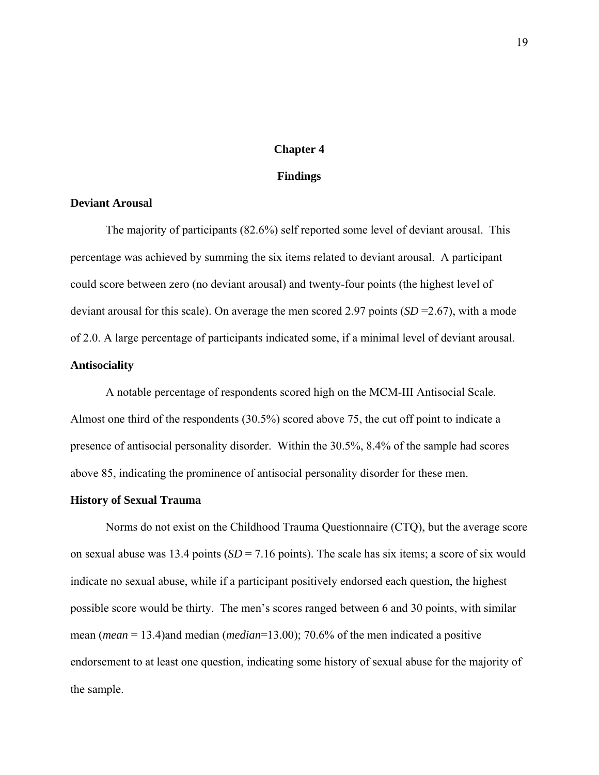#### **Chapter 4**

#### **Findings**

#### **Deviant Arousal**

The majority of participants (82.6%) self reported some level of deviant arousal. This percentage was achieved by summing the six items related to deviant arousal. A participant could score between zero (no deviant arousal) and twenty-four points (the highest level of deviant arousal for this scale). On average the men scored 2.97 points (*SD* =2.67), with a mode of 2.0. A large percentage of participants indicated some, if a minimal level of deviant arousal. **Antisociality** 

A notable percentage of respondents scored high on the MCM-III Antisocial Scale. Almost one third of the respondents (30.5%) scored above 75, the cut off point to indicate a presence of antisocial personality disorder. Within the 30.5%, 8.4% of the sample had scores above 85, indicating the prominence of antisocial personality disorder for these men.

#### **History of Sexual Trauma**

Norms do not exist on the Childhood Trauma Questionnaire (CTQ), but the average score on sexual abuse was 13.4 points ( $SD = 7.16$  points). The scale has six items; a score of six would indicate no sexual abuse, while if a participant positively endorsed each question, the highest possible score would be thirty. The men's scores ranged between 6 and 30 points, with similar mean (*mean* = 13.4)and median (*median*=13.00); 70.6% of the men indicated a positive endorsement to at least one question, indicating some history of sexual abuse for the majority of the sample.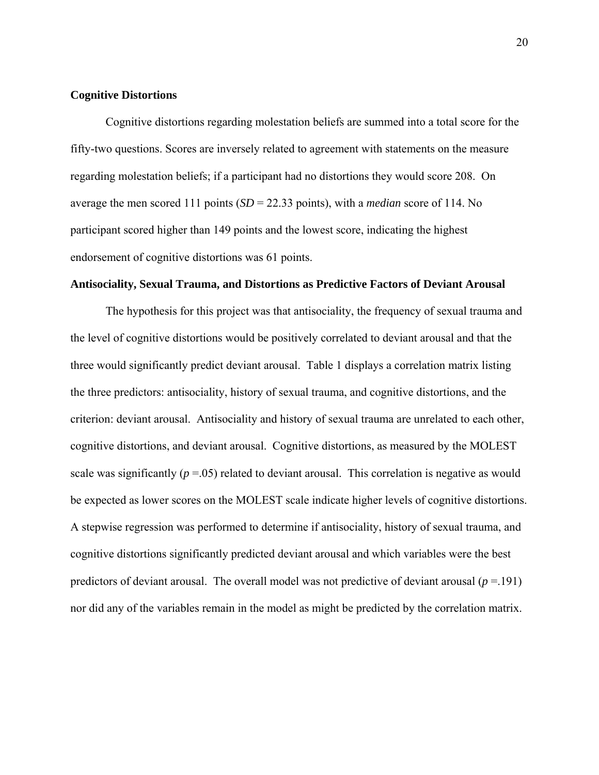#### **Cognitive Distortions**

Cognitive distortions regarding molestation beliefs are summed into a total score for the fifty-two questions. Scores are inversely related to agreement with statements on the measure regarding molestation beliefs; if a participant had no distortions they would score 208. On average the men scored 111 points (*SD* = 22.33 points), with a *median* score of 114. No participant scored higher than 149 points and the lowest score, indicating the highest endorsement of cognitive distortions was 61 points.

#### **Antisociality, Sexual Trauma, and Distortions as Predictive Factors of Deviant Arousal**

The hypothesis for this project was that antisociality, the frequency of sexual trauma and the level of cognitive distortions would be positively correlated to deviant arousal and that the three would significantly predict deviant arousal. Table 1 displays a correlation matrix listing the three predictors: antisociality, history of sexual trauma, and cognitive distortions, and the criterion: deviant arousal. Antisociality and history of sexual trauma are unrelated to each other, cognitive distortions, and deviant arousal. Cognitive distortions, as measured by the MOLEST scale was significantly  $(p = 0.05)$  related to deviant arousal. This correlation is negative as would be expected as lower scores on the MOLEST scale indicate higher levels of cognitive distortions. A stepwise regression was performed to determine if antisociality, history of sexual trauma, and cognitive distortions significantly predicted deviant arousal and which variables were the best predictors of deviant arousal. The overall model was not predictive of deviant arousal (*p* =.191) nor did any of the variables remain in the model as might be predicted by the correlation matrix.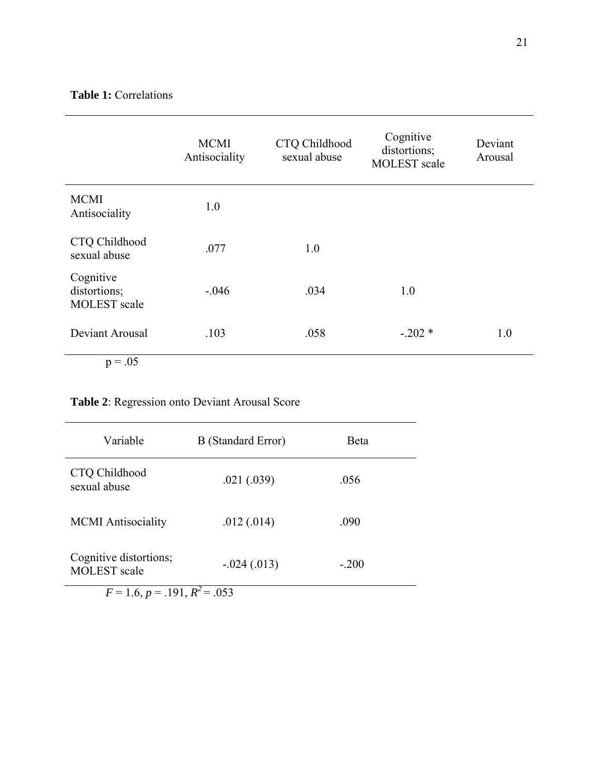### **Table 1:** Correlations

|                                                  | <b>MCMI</b><br>Antisociality | CTQ Childhood<br>sexual abuse | Cognitive<br>distortions;<br><b>MOLEST</b> scale | Deviant<br>Arousal |
|--------------------------------------------------|------------------------------|-------------------------------|--------------------------------------------------|--------------------|
| <b>MCMI</b><br>Antisociality                     | 1.0                          |                               |                                                  |                    |
| CTQ Childhood<br>sexual abuse                    | .077                         | 1.0                           |                                                  |                    |
| Cognitive<br>distortions;<br><b>MOLEST</b> scale | $-.046$                      | .034                          | 1.0                                              |                    |
| Deviant Arousal                                  | .103                         | .058                          | $-.202*$                                         | 1.0                |
| $p = .05$                                        |                              |                               |                                                  |                    |

## **Table 2**: Regression onto Deviant Arousal Score

| Variable                                      | <b>B</b> (Standard Error) | Beta    |  |  |  |
|-----------------------------------------------|---------------------------|---------|--|--|--|
| CTQ Childhood<br>sexual abuse                 | .021(.039)                | .056    |  |  |  |
| <b>MCMI</b> Antisociality                     | .012(.014)                | .090    |  |  |  |
| Cognitive distortions;<br><b>MOLEST</b> scale | $-0.024(0.013)$           | $-.200$ |  |  |  |
| $F = 1.6, p = .191, R^2 = .053$               |                           |         |  |  |  |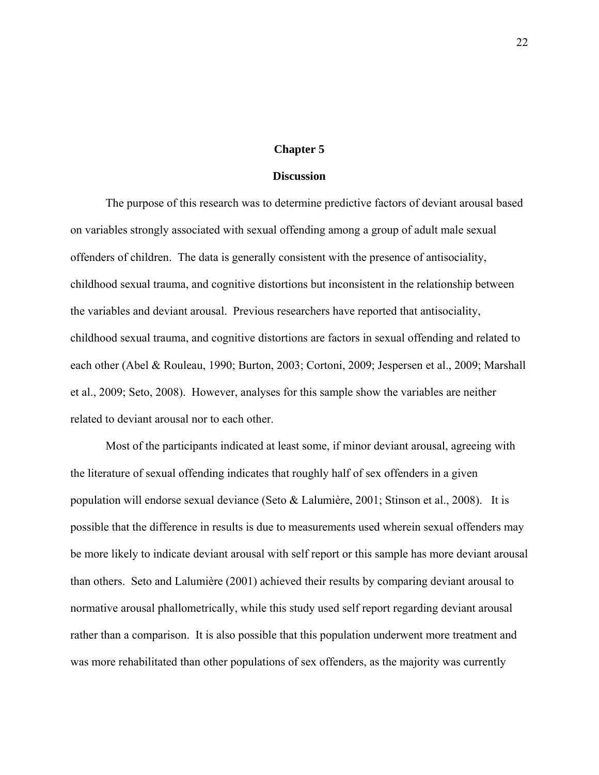#### **Chapter 5**

#### **Discussion**

The purpose of this research was to determine predictive factors of deviant arousal based on variables strongly associated with sexual offending among a group of adult male sexual offenders of children. The data is generally consistent with the presence of antisociality, childhood sexual trauma, and cognitive distortions but inconsistent in the relationship between the variables and deviant arousal. Previous researchers have reported that antisociality, childhood sexual trauma, and cognitive distortions are factors in sexual offending and related to each other (Abel & Rouleau, 1990; Burton, 2003; Cortoni, 2009; Jespersen et al., 2009; Marshall et al., 2009; Seto, 2008). However, analyses for this sample show the variables are neither related to deviant arousal nor to each other.

Most of the participants indicated at least some, if minor deviant arousal, agreeing with the literature of sexual offending indicates that roughly half of sex offenders in a given population will endorse sexual deviance (Seto & Lalumière, 2001; Stinson et al., 2008). It is possible that the difference in results is due to measurements used wherein sexual offenders may be more likely to indicate deviant arousal with self report or this sample has more deviant arousal than others. Seto and Lalumière (2001) achieved their results by comparing deviant arousal to normative arousal phallometrically, while this study used self report regarding deviant arousal rather than a comparison. It is also possible that this population underwent more treatment and was more rehabilitated than other populations of sex offenders, as the majority was currently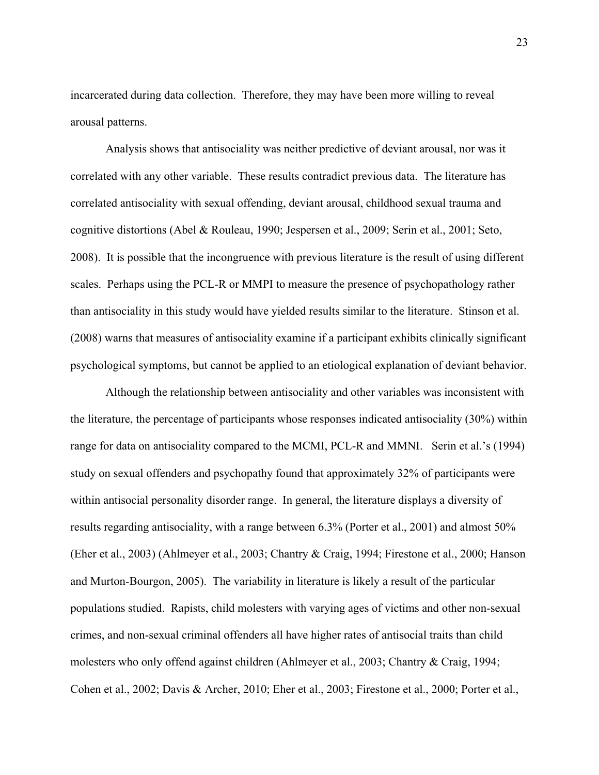incarcerated during data collection. Therefore, they may have been more willing to reveal arousal patterns.

Analysis shows that antisociality was neither predictive of deviant arousal, nor was it correlated with any other variable. These results contradict previous data. The literature has correlated antisociality with sexual offending, deviant arousal, childhood sexual trauma and cognitive distortions (Abel & Rouleau, 1990; Jespersen et al., 2009; Serin et al., 2001; Seto, 2008). It is possible that the incongruence with previous literature is the result of using different scales. Perhaps using the PCL-R or MMPI to measure the presence of psychopathology rather than antisociality in this study would have yielded results similar to the literature. Stinson et al. (2008) warns that measures of antisociality examine if a participant exhibits clinically significant psychological symptoms, but cannot be applied to an etiological explanation of deviant behavior.

Although the relationship between antisociality and other variables was inconsistent with the literature, the percentage of participants whose responses indicated antisociality (30%) within range for data on antisociality compared to the MCMI, PCL-R and MMNI. Serin et al.'s (1994) study on sexual offenders and psychopathy found that approximately 32% of participants were within antisocial personality disorder range. In general, the literature displays a diversity of results regarding antisociality, with a range between 6.3% (Porter et al., 2001) and almost 50% (Eher et al., 2003) (Ahlmeyer et al., 2003; Chantry & Craig, 1994; Firestone et al., 2000; Hanson and Murton-Bourgon, 2005). The variability in literature is likely a result of the particular populations studied. Rapists, child molesters with varying ages of victims and other non-sexual crimes, and non-sexual criminal offenders all have higher rates of antisocial traits than child molesters who only offend against children (Ahlmeyer et al., 2003; Chantry & Craig, 1994; Cohen et al., 2002; Davis & Archer, 2010; Eher et al., 2003; Firestone et al., 2000; Porter et al.,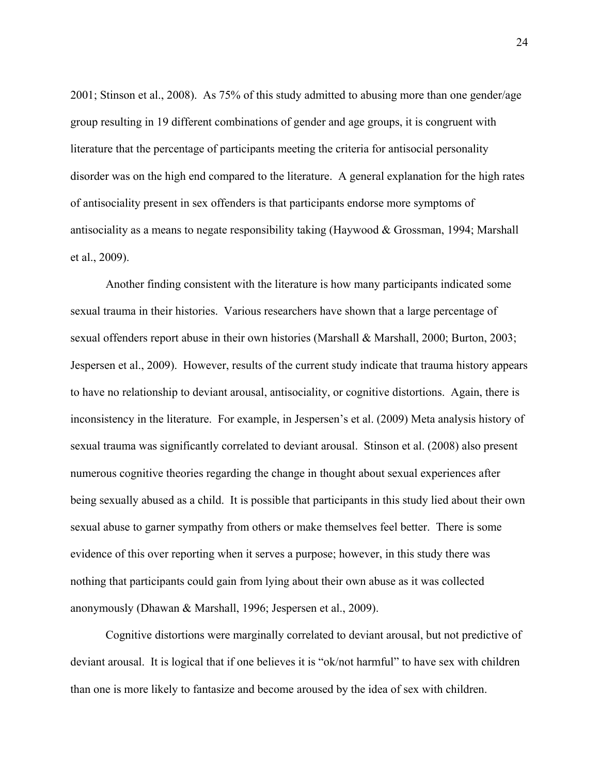2001; Stinson et al., 2008). As 75% of this study admitted to abusing more than one gender/age group resulting in 19 different combinations of gender and age groups, it is congruent with literature that the percentage of participants meeting the criteria for antisocial personality disorder was on the high end compared to the literature. A general explanation for the high rates of antisociality present in sex offenders is that participants endorse more symptoms of antisociality as a means to negate responsibility taking (Haywood & Grossman, 1994; Marshall et al., 2009).

Another finding consistent with the literature is how many participants indicated some sexual trauma in their histories. Various researchers have shown that a large percentage of sexual offenders report abuse in their own histories (Marshall & Marshall, 2000; Burton, 2003; Jespersen et al., 2009). However, results of the current study indicate that trauma history appears to have no relationship to deviant arousal, antisociality, or cognitive distortions. Again, there is inconsistency in the literature. For example, in Jespersen's et al. (2009) Meta analysis history of sexual trauma was significantly correlated to deviant arousal. Stinson et al. (2008) also present numerous cognitive theories regarding the change in thought about sexual experiences after being sexually abused as a child. It is possible that participants in this study lied about their own sexual abuse to garner sympathy from others or make themselves feel better. There is some evidence of this over reporting when it serves a purpose; however, in this study there was nothing that participants could gain from lying about their own abuse as it was collected anonymously (Dhawan & Marshall, 1996; Jespersen et al., 2009).

Cognitive distortions were marginally correlated to deviant arousal, but not predictive of deviant arousal. It is logical that if one believes it is "ok/not harmful" to have sex with children than one is more likely to fantasize and become aroused by the idea of sex with children.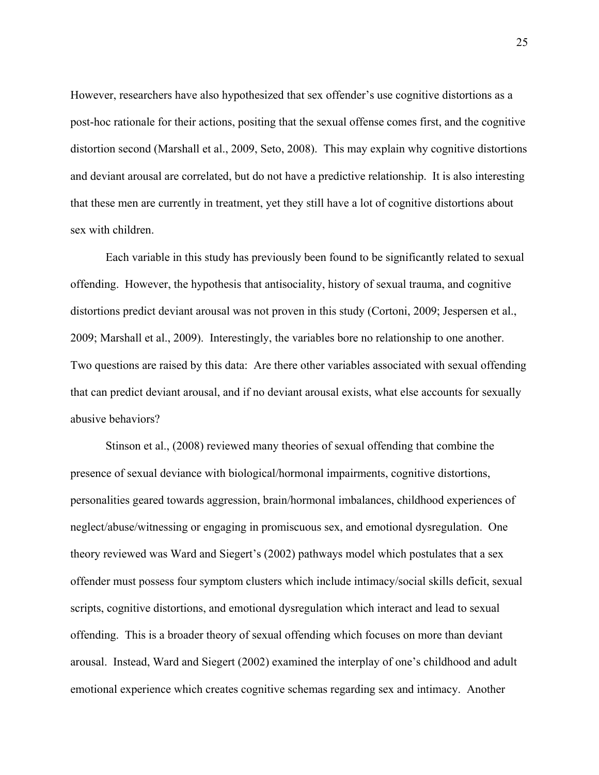However, researchers have also hypothesized that sex offender's use cognitive distortions as a post-hoc rationale for their actions, positing that the sexual offense comes first, and the cognitive distortion second (Marshall et al., 2009, Seto, 2008). This may explain why cognitive distortions and deviant arousal are correlated, but do not have a predictive relationship. It is also interesting that these men are currently in treatment, yet they still have a lot of cognitive distortions about sex with children.

Each variable in this study has previously been found to be significantly related to sexual offending. However, the hypothesis that antisociality, history of sexual trauma, and cognitive distortions predict deviant arousal was not proven in this study (Cortoni, 2009; Jespersen et al., 2009; Marshall et al., 2009). Interestingly, the variables bore no relationship to one another. Two questions are raised by this data: Are there other variables associated with sexual offending that can predict deviant arousal, and if no deviant arousal exists, what else accounts for sexually abusive behaviors?

Stinson et al., (2008) reviewed many theories of sexual offending that combine the presence of sexual deviance with biological/hormonal impairments, cognitive distortions, personalities geared towards aggression, brain/hormonal imbalances, childhood experiences of neglect/abuse/witnessing or engaging in promiscuous sex, and emotional dysregulation. One theory reviewed was Ward and Siegert's (2002) pathways model which postulates that a sex offender must possess four symptom clusters which include intimacy/social skills deficit, sexual scripts, cognitive distortions, and emotional dysregulation which interact and lead to sexual offending. This is a broader theory of sexual offending which focuses on more than deviant arousal. Instead, Ward and Siegert (2002) examined the interplay of one's childhood and adult emotional experience which creates cognitive schemas regarding sex and intimacy. Another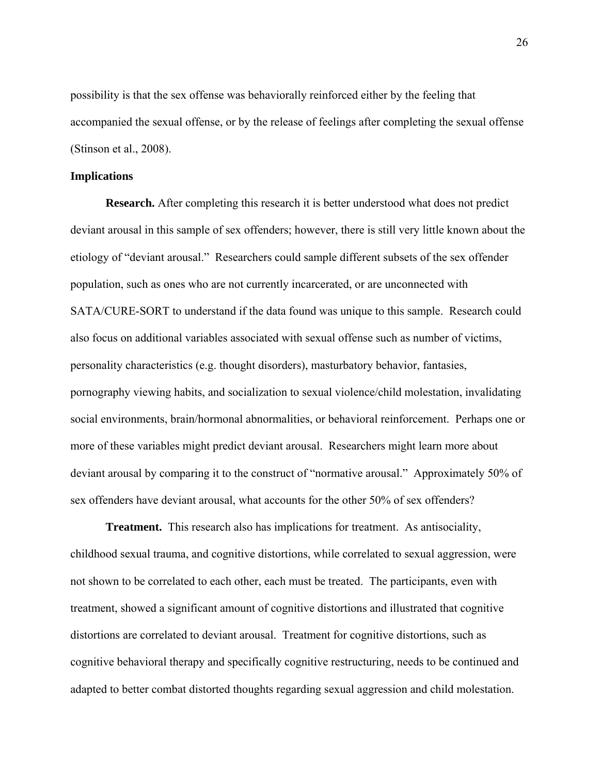possibility is that the sex offense was behaviorally reinforced either by the feeling that accompanied the sexual offense, or by the release of feelings after completing the sexual offense (Stinson et al., 2008).

#### **Implications**

**Research.** After completing this research it is better understood what does not predict deviant arousal in this sample of sex offenders; however, there is still very little known about the etiology of "deviant arousal." Researchers could sample different subsets of the sex offender population, such as ones who are not currently incarcerated, or are unconnected with SATA/CURE-SORT to understand if the data found was unique to this sample. Research could also focus on additional variables associated with sexual offense such as number of victims, personality characteristics (e.g. thought disorders), masturbatory behavior, fantasies, pornography viewing habits, and socialization to sexual violence/child molestation, invalidating social environments, brain/hormonal abnormalities, or behavioral reinforcement. Perhaps one or more of these variables might predict deviant arousal. Researchers might learn more about deviant arousal by comparing it to the construct of "normative arousal." Approximately 50% of sex offenders have deviant arousal, what accounts for the other 50% of sex offenders?

**Treatment.** This research also has implications for treatment. As antisociality, childhood sexual trauma, and cognitive distortions, while correlated to sexual aggression, were not shown to be correlated to each other, each must be treated. The participants, even with treatment, showed a significant amount of cognitive distortions and illustrated that cognitive distortions are correlated to deviant arousal. Treatment for cognitive distortions, such as cognitive behavioral therapy and specifically cognitive restructuring, needs to be continued and adapted to better combat distorted thoughts regarding sexual aggression and child molestation.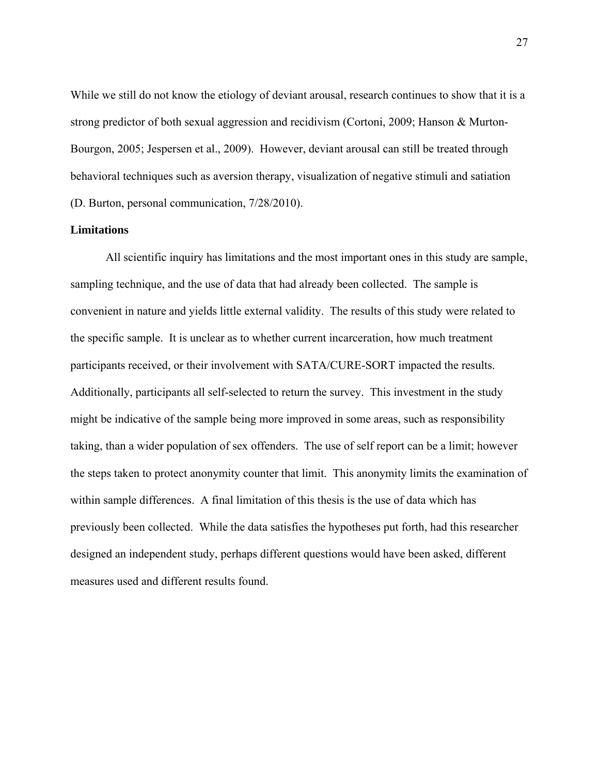While we still do not know the etiology of deviant arousal, research continues to show that it is a strong predictor of both sexual aggression and recidivism (Cortoni, 2009; Hanson & Murton-Bourgon, 2005; Jespersen et al., 2009). However, deviant arousal can still be treated through behavioral techniques such as aversion therapy, visualization of negative stimuli and satiation (D. Burton, personal communication, 7/28/2010).

#### **Limitations**

All scientific inquiry has limitations and the most important ones in this study are sample, sampling technique, and the use of data that had already been collected. The sample is convenient in nature and yields little external validity. The results of this study were related to the specific sample. It is unclear as to whether current incarceration, how much treatment participants received, or their involvement with SATA/CURE-SORT impacted the results. Additionally, participants all self-selected to return the survey. This investment in the study might be indicative of the sample being more improved in some areas, such as responsibility taking, than a wider population of sex offenders. The use of self report can be a limit; however the steps taken to protect anonymity counter that limit. This anonymity limits the examination of within sample differences. A final limitation of this thesis is the use of data which has previously been collected. While the data satisfies the hypotheses put forth, had this researcher designed an independent study, perhaps different questions would have been asked, different measures used and different results found.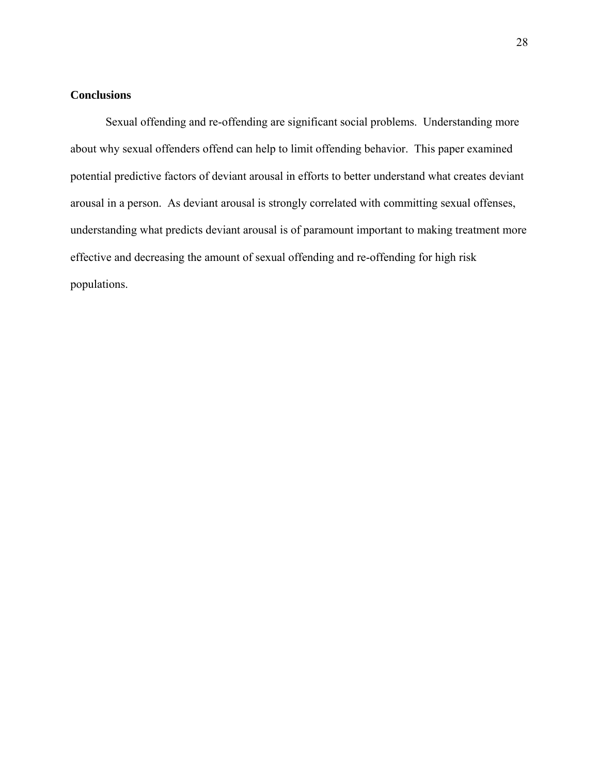#### **Conclusions**

Sexual offending and re-offending are significant social problems. Understanding more about why sexual offenders offend can help to limit offending behavior. This paper examined potential predictive factors of deviant arousal in efforts to better understand what creates deviant arousal in a person. As deviant arousal is strongly correlated with committing sexual offenses, understanding what predicts deviant arousal is of paramount important to making treatment more effective and decreasing the amount of sexual offending and re-offending for high risk populations.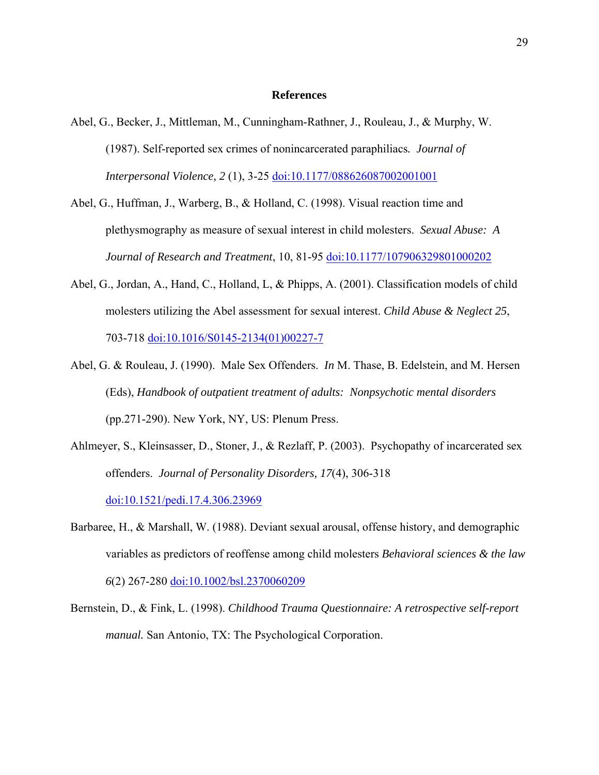#### **References**

- Abel, G., Becker, J., Mittleman, M., Cunningham-Rathner, J., Rouleau, J., & Murphy, W. (1987). Self-reported sex crimes of nonincarcerated paraphiliacs*. Journal of Interpersonal Violence, 2 (1), 3-25 doi:10.1177/088626087002001001*
- Abel, G., Huffman, J., Warberg, B., & Holland, C. (1998). Visual reaction time and plethysmography as measure of sexual interest in child molesters. *Sexual Abuse: A Journal of Research and Treatment*, 10, 81-95 doi:10.1177/107906329801000202
- Abel, G., Jordan, A., Hand, C., Holland, L, & Phipps, A. (2001). Classification models of child molesters utilizing the Abel assessment for sexual interest. *Child Abuse & Neglect 25*, 703-718 doi:10.1016/S0145-2134(01)00227-7
- Abel, G. & Rouleau, J. (1990). Male Sex Offenders. *In* M. Thase, B. Edelstein, and M. Hersen (Eds), *Handbook of outpatient treatment of adults: Nonpsychotic mental disorders*  (pp.271-290). New York, NY, US: Plenum Press.
- Ahlmeyer, S., Kleinsasser, D., Stoner, J., & Rezlaff, P. (2003). Psychopathy of incarcerated sex offenders. *Journal of Personality Disorders, 17*(4), 306-318 doi:10.1521/pedi.17.4.306.23969
- Barbaree, H., & Marshall, W. (1988). Deviant sexual arousal, offense history, and demographic variables as predictors of reoffense among child molesters *Behavioral sciences & the law 6*(2) 267-280 doi:10.1002/bsl.2370060209
- Bernstein, D., & Fink, L. (1998). *Childhood Trauma Questionnaire: A retrospective self-report manual.* San Antonio, TX: The Psychological Corporation.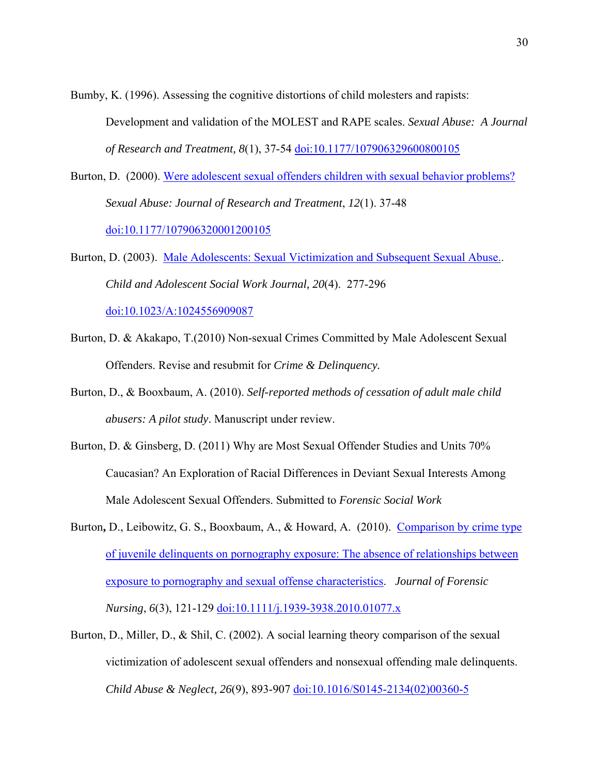Bumby, K. (1996). Assessing the cognitive distortions of child molesters and rapists: Development and validation of the MOLEST and RAPE scales. *Sexual Abuse: A Journal of Research and Treatment, 8*(1), 37-54 doi:10.1177/107906329600800105

- Burton, D. (2000). Were adolescent sexual offenders children with sexual behavior problems? *Sexual Abuse: Journal of Research and Treatment*, *12*(1). 37-48 doi:10.1177/107906320001200105
- Burton, D. (2003). Male Adolescents: Sexual Victimization and Subsequent Sexual Abuse.. *Child and Adolescent Social Work Journal, 20*(4). 277-296 doi:10.1023/A:1024556909087
- Burton, D. & Akakapo, T.(2010) Non-sexual Crimes Committed by Male Adolescent Sexual Offenders. Revise and resubmit for *Crime & Delinquency.*
- Burton, D., & Booxbaum, A. (2010). *Self-reported methods of cessation of adult male child abusers: A pilot study*. Manuscript under review.
- Burton, D. & Ginsberg, D. (2011) Why are Most Sexual Offender Studies and Units 70% Caucasian? An Exploration of Racial Differences in Deviant Sexual Interests Among Male Adolescent Sexual Offenders. Submitted to *Forensic Social Work*
- Burton**,** D., Leibowitz, G. S., Booxbaum, A., & Howard, A. (2010). Comparison by crime type of juvenile delinquents on pornography exposure: The absence of relationships between exposure to pornography and sexual offense characteristics. *Journal of Forensic Nursing*, *6*(3), 121-129 doi:10.1111/j.1939-3938.2010.01077.x
- Burton, D., Miller, D., & Shil, C. (2002). A social learning theory comparison of the sexual victimization of adolescent sexual offenders and nonsexual offending male delinquents. *Child Abuse & Neglect, 26*(9), 893-907 doi:10.1016/S0145-2134(02)00360-5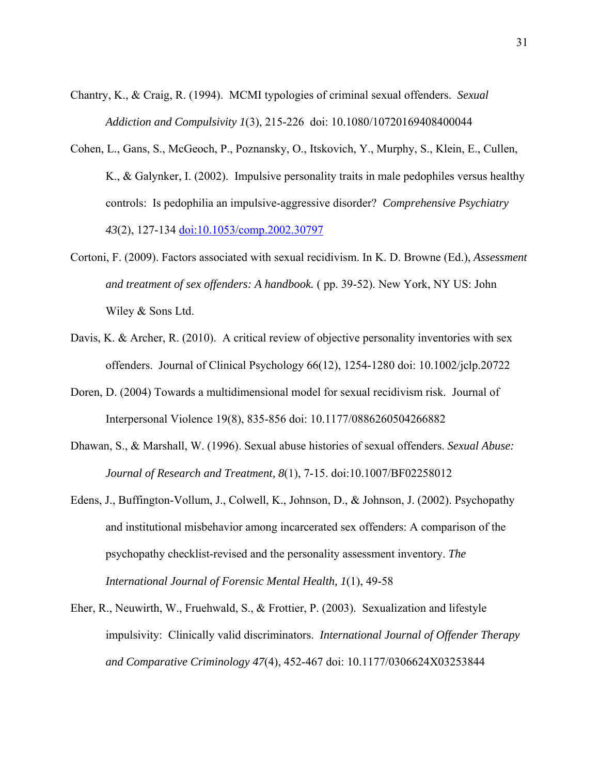- Chantry, K., & Craig, R. (1994). MCMI typologies of criminal sexual offenders. *Sexual Addiction and Compulsivity 1*(3), 215-226 doi: 10.1080/10720169408400044
- Cohen, L., Gans, S., McGeoch, P., Poznansky, O., Itskovich, Y., Murphy, S., Klein, E., Cullen, K., & Galynker, I. (2002). Impulsive personality traits in male pedophiles versus healthy controls: Is pedophilia an impulsive-aggressive disorder? *Comprehensive Psychiatry 43*(2), 127-134 doi:10.1053/comp.2002.30797
- Cortoni, F. (2009). Factors associated with sexual recidivism. In K. D. Browne (Ed.), *Assessment and treatment of sex offenders: A handbook.* ( pp. 39-52). New York, NY US: John Wiley & Sons Ltd.
- Davis, K. & Archer, R. (2010). A critical review of objective personality inventories with sex offenders. Journal of Clinical Psychology 66(12), 1254-1280 doi: 10.1002/jclp.20722
- Doren, D. (2004) Towards a multidimensional model for sexual recidivism risk. Journal of Interpersonal Violence 19(8), 835-856 doi: 10.1177/0886260504266882
- Dhawan, S., & Marshall, W. (1996). Sexual abuse histories of sexual offenders. *Sexual Abuse: Journal of Research and Treatment, 8*(1), 7-15. doi:10.1007/BF02258012
- Edens, J., Buffington-Vollum, J., Colwell, K., Johnson, D., & Johnson, J. (2002). Psychopathy and institutional misbehavior among incarcerated sex offenders: A comparison of the psychopathy checklist-revised and the personality assessment inventory. *The International Journal of Forensic Mental Health, 1*(1), 49-58
- Eher, R., Neuwirth, W., Fruehwald, S., & Frottier, P. (2003). Sexualization and lifestyle impulsivity: Clinically valid discriminators. *International Journal of Offender Therapy and Comparative Criminology 47*(4), 452-467 doi: 10.1177/0306624X03253844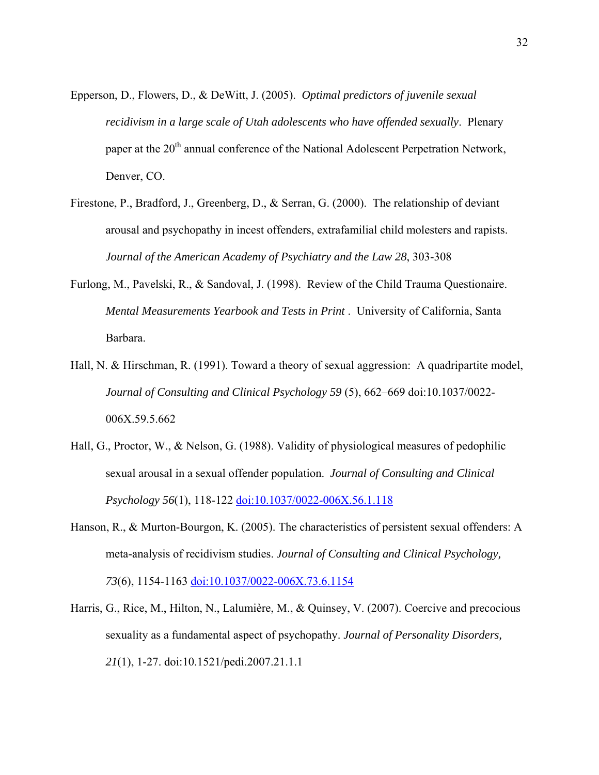- Epperson, D., Flowers, D., & DeWitt, J. (2005). *Optimal predictors of juvenile sexual recidivism in a large scale of Utah adolescents who have offended sexually*. Plenary paper at the 20<sup>th</sup> annual conference of the National Adolescent Perpetration Network, Denver, CO.
- Firestone, P., Bradford, J., Greenberg, D., & Serran, G. (2000). The relationship of deviant arousal and psychopathy in incest offenders, extrafamilial child molesters and rapists. *Journal of the American Academy of Psychiatry and the Law 28*, 303-308
- Furlong, M., Pavelski, R., & Sandoval, J. (1998). Review of the Child Trauma Questionaire. *Mental Measurements Yearbook and Tests in Print* . University of California, Santa Barbara.
- Hall, N. & Hirschman, R. (1991). Toward a theory of sexual aggression: A quadripartite model, *Journal of Consulting and Clinical Psychology 59* (5), 662–669 doi:10.1037/0022- 006X.59.5.662
- Hall, G., Proctor, W., & Nelson, G. (1988). Validity of physiological measures of pedophilic sexual arousal in a sexual offender population. *Journal of Consulting and Clinical Psychology 56*(1), 118-122 doi:10.1037/0022-006X.56.1.118
- Hanson, R., & Murton-Bourgon, K. (2005). The characteristics of persistent sexual offenders: A meta-analysis of recidivism studies. *Journal of Consulting and Clinical Psychology, 73*(6), 1154-1163 doi:10.1037/0022-006X.73.6.1154
- Harris, G., Rice, M., Hilton, N., Lalumière, M., & Quinsey, V. (2007). Coercive and precocious sexuality as a fundamental aspect of psychopathy. *Journal of Personality Disorders, 21*(1), 1-27. doi:10.1521/pedi.2007.21.1.1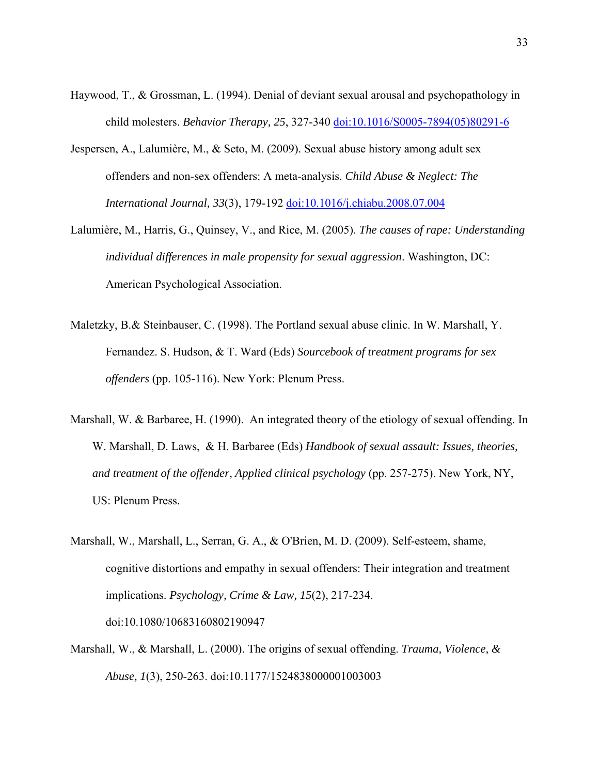- Haywood, T., & Grossman, L. (1994). Denial of deviant sexual arousal and psychopathology in child molesters. *Behavior Therapy, 25*, 327-340 doi:10.1016/S0005-7894(05)80291-6
- Jespersen, A., Lalumière, M., & Seto, M. (2009). Sexual abuse history among adult sex offenders and non-sex offenders: A meta-analysis. *Child Abuse & Neglect: The International Journal, 33*(3), 179-192 doi:10.1016/j.chiabu.2008.07.004
- Lalumière, M., Harris, G., Quinsey, V., and Rice, M. (2005). *The causes of rape: Understanding individual differences in male propensity for sexual aggression*. Washington, DC: American Psychological Association.
- Maletzky, B.& Steinbauser, C. (1998). The Portland sexual abuse clinic. In W. Marshall, Y. Fernandez. S. Hudson, & T. Ward (Eds) *Sourcebook of treatment programs for sex offenders* (pp. 105-116). New York: Plenum Press.
- Marshall, W. & Barbaree, H. (1990). An integrated theory of the etiology of sexual offending. In W. Marshall, D. Laws, & H. Barbaree (Eds) *Handbook of sexual assault: Issues, theories, and treatment of the offender*, *Applied clinical psychology* (pp. 257-275). New York, NY, US: Plenum Press.
- Marshall, W., Marshall, L., Serran, G. A., & O'Brien, M. D. (2009). Self-esteem, shame, cognitive distortions and empathy in sexual offenders: Their integration and treatment implications. *Psychology, Crime & Law, 15*(2), 217-234. doi:10.1080/10683160802190947
- Marshall, W., & Marshall, L. (2000). The origins of sexual offending. *Trauma, Violence, & Abuse, 1*(3), 250-263. doi:10.1177/1524838000001003003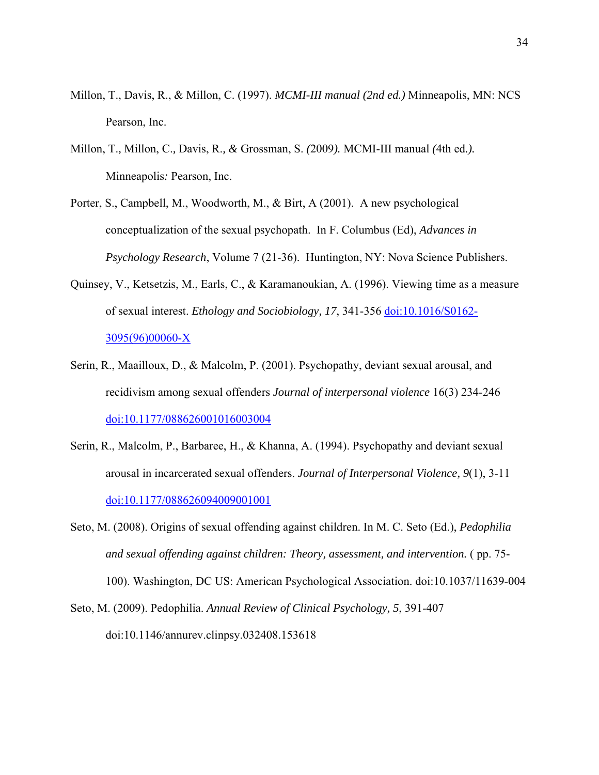- Millon, T., Davis, R., & Millon, C. (1997). *MCMI-III manual (2nd ed.)* Minneapolis, MN: NCS Pearson, Inc.
- Millon, T.*,* Millon, C.*,* Davis, R.*, &* Grossman, S. *(*2009*).* MCMI-III manual *(*4th ed*.).*  Minneapolis*:* Pearson, Inc.
- Porter, S., Campbell, M., Woodworth, M., & Birt, A (2001). A new psychological conceptualization of the sexual psychopath. In F. Columbus (Ed), *Advances in Psychology Research*, Volume 7 (21-36). Huntington, NY: Nova Science Publishers.
- Quinsey, V., Ketsetzis, M., Earls, C., & Karamanoukian, A. (1996). Viewing time as a measure of sexual interest. *Ethology and Sociobiology, 17*, 341-356 doi:10.1016/S0162- 3095(96)00060-X
- Serin, R., Maailloux, D., & Malcolm, P. (2001). Psychopathy, deviant sexual arousal, and recidivism among sexual offenders *Journal of interpersonal violence* 16(3) 234-246 doi:10.1177/088626001016003004
- Serin, R., Malcolm, P., Barbaree, H., & Khanna, A. (1994). Psychopathy and deviant sexual arousal in incarcerated sexual offenders. *Journal of Interpersonal Violence, 9*(1), 3-11 doi:10.1177/088626094009001001
- Seto, M. (2008). Origins of sexual offending against children. In M. C. Seto (Ed.), *Pedophilia and sexual offending against children: Theory, assessment, and intervention.* ( pp. 75- 100). Washington, DC US: American Psychological Association. doi:10.1037/11639-004

Seto, M. (2009). Pedophilia. *Annual Review of Clinical Psychology, 5*, 391-407 doi:10.1146/annurev.clinpsy.032408.153618